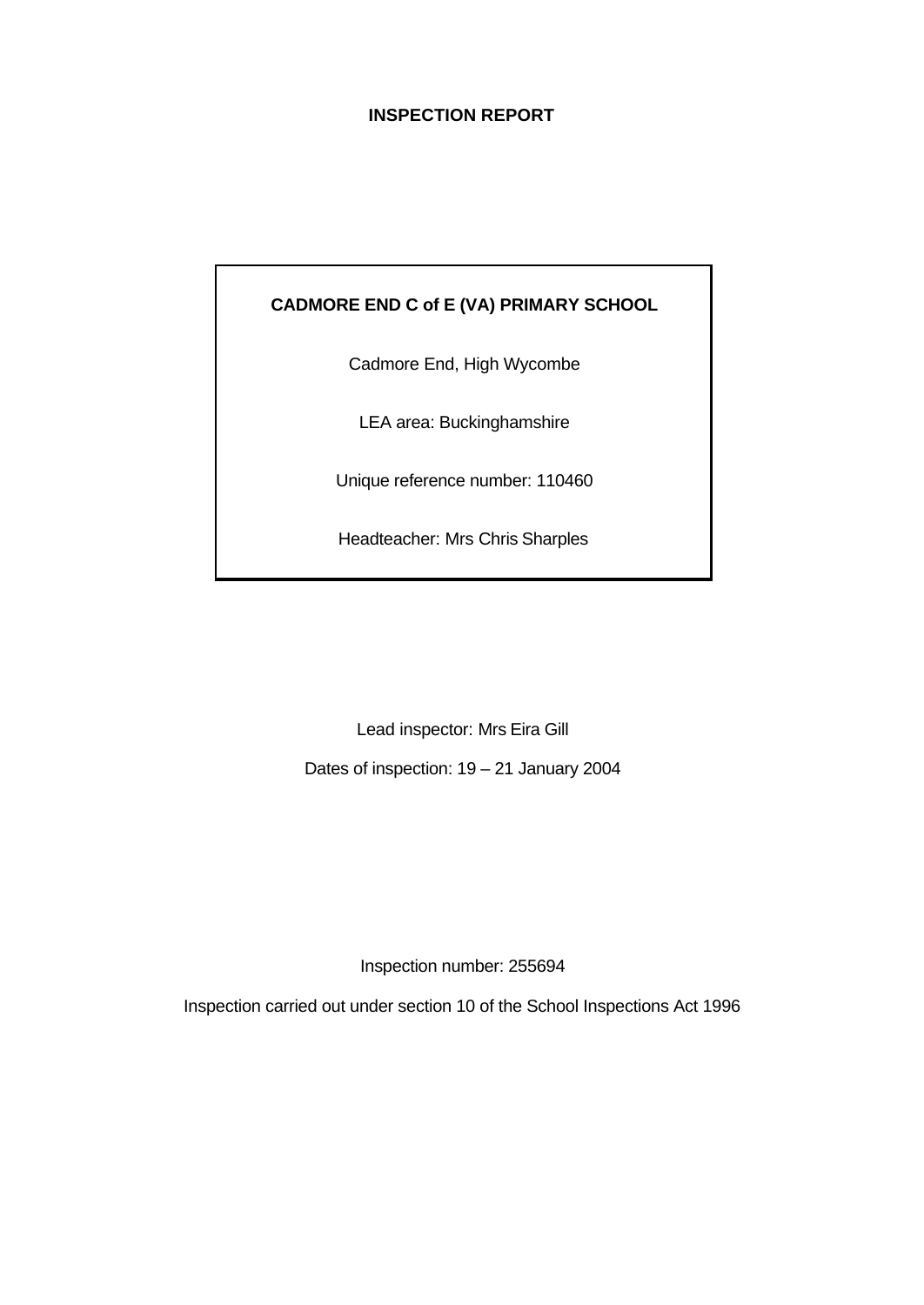# **INSPECTION REPORT**

# **CADMORE END C of E (VA) PRIMARY SCHOOL**

Cadmore End, High Wycombe

LEA area: Buckinghamshire

Unique reference number: 110460

Headteacher: Mrs Chris Sharples

Lead inspector: Mrs Eira Gill

Dates of inspection: 19 – 21 January 2004

Inspection number: 255694

Inspection carried out under section 10 of the School Inspections Act 1996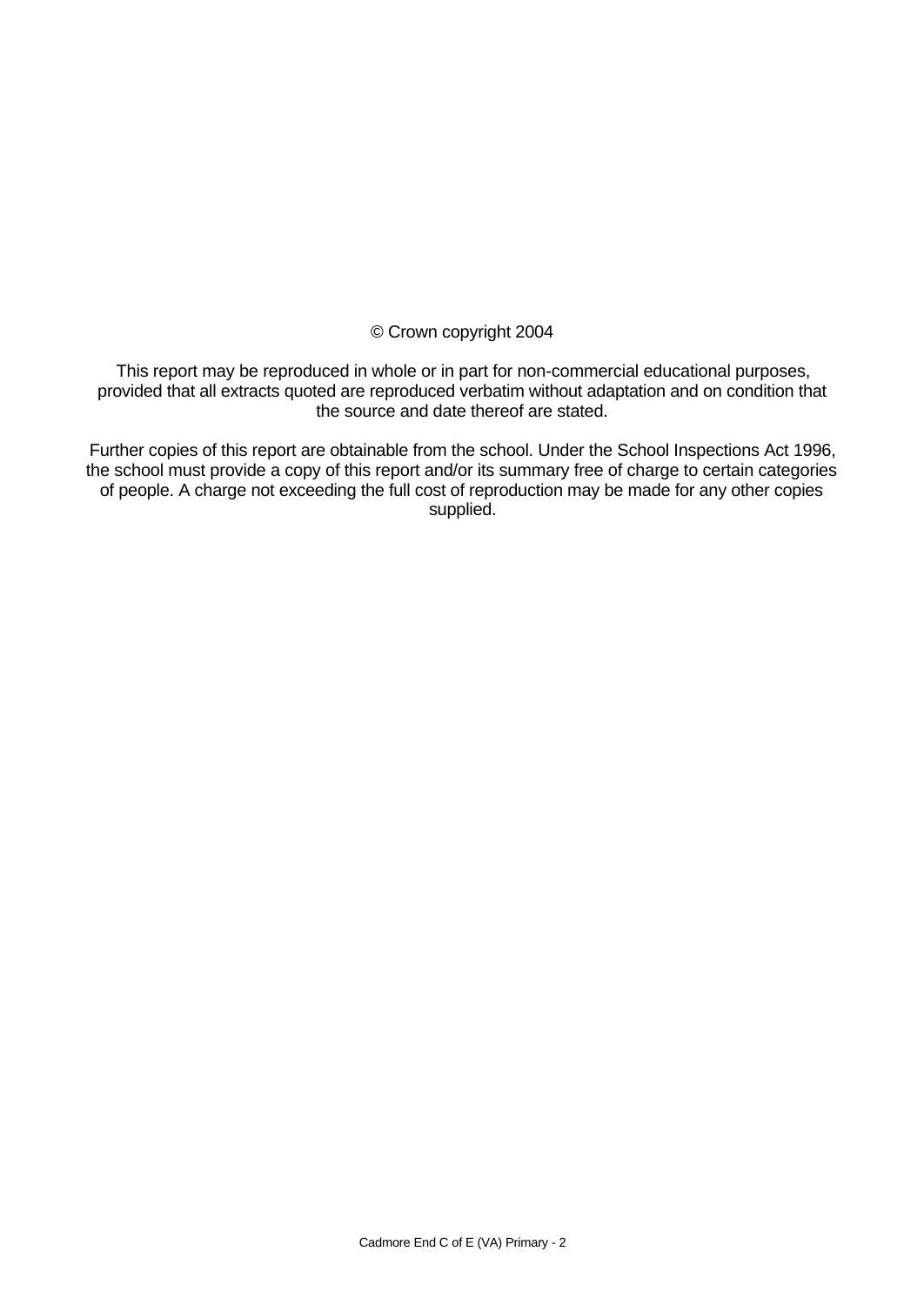© Crown copyright 2004

This report may be reproduced in whole or in part for non-commercial educational purposes, provided that all extracts quoted are reproduced verbatim without adaptation and on condition that the source and date thereof are stated.

Further copies of this report are obtainable from the school. Under the School Inspections Act 1996, the school must provide a copy of this report and/or its summary free of charge to certain categories of people. A charge not exceeding the full cost of reproduction may be made for any other copies supplied.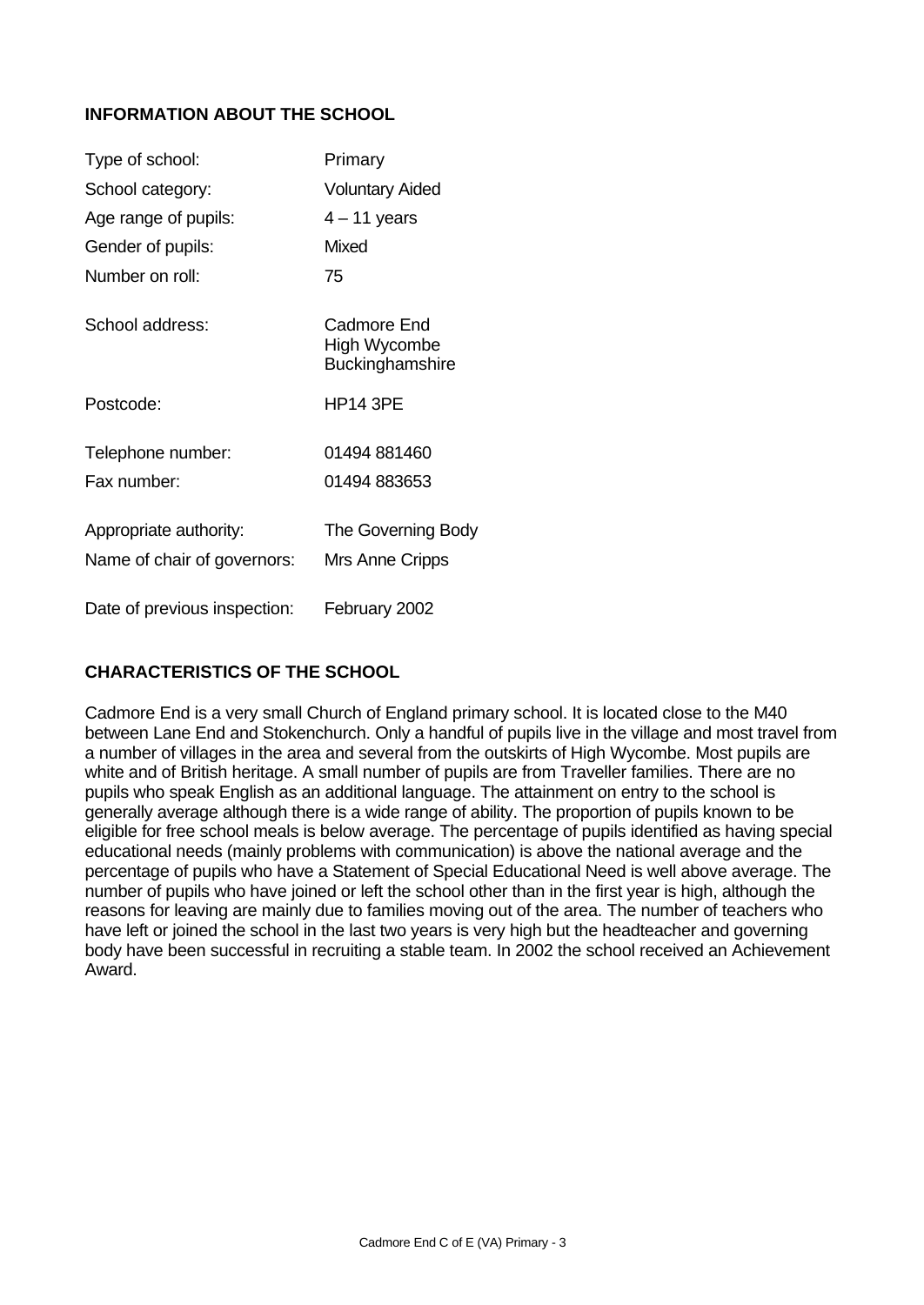## **INFORMATION ABOUT THE SCHOOL**

| Type of school:              | Primary                                        |
|------------------------------|------------------------------------------------|
| School category:             | <b>Voluntary Aided</b>                         |
| Age range of pupils:         | $4 - 11$ years                                 |
| Gender of pupils:            | Mixed                                          |
| Number on roll:              | 75                                             |
| School address:              | Cadmore End<br>High Wycombe<br>Buckinghamshire |
| Postcode:                    | <b>HP14 3PE</b>                                |
| Telephone number:            | 01494 881460                                   |
| Fax number:                  | 01494 883653                                   |
| Appropriate authority:       | The Governing Body                             |
| Name of chair of governors:  | Mrs Anne Cripps                                |
| Date of previous inspection: | February 2002                                  |

## **CHARACTERISTICS OF THE SCHOOL**

Cadmore End is a very small Church of England primary school. It is located close to the M40 between Lane End and Stokenchurch. Only a handful of pupils live in the village and most travel from a number of villages in the area and several from the outskirts of High Wycombe. Most pupils are white and of British heritage. A small number of pupils are from Traveller families. There are no pupils who speak English as an additional language. The attainment on entry to the school is generally average although there is a wide range of ability. The proportion of pupils known to be eligible for free school meals is below average. The percentage of pupils identified as having special educational needs (mainly problems with communication) is above the national average and the percentage of pupils who have a Statement of Special Educational Need is well above average. The number of pupils who have joined or left the school other than in the first year is high, although the reasons for leaving are mainly due to families moving out of the area. The number of teachers who have left or joined the school in the last two years is very high but the headteacher and governing body have been successful in recruiting a stable team. In 2002 the school received an Achievement Award.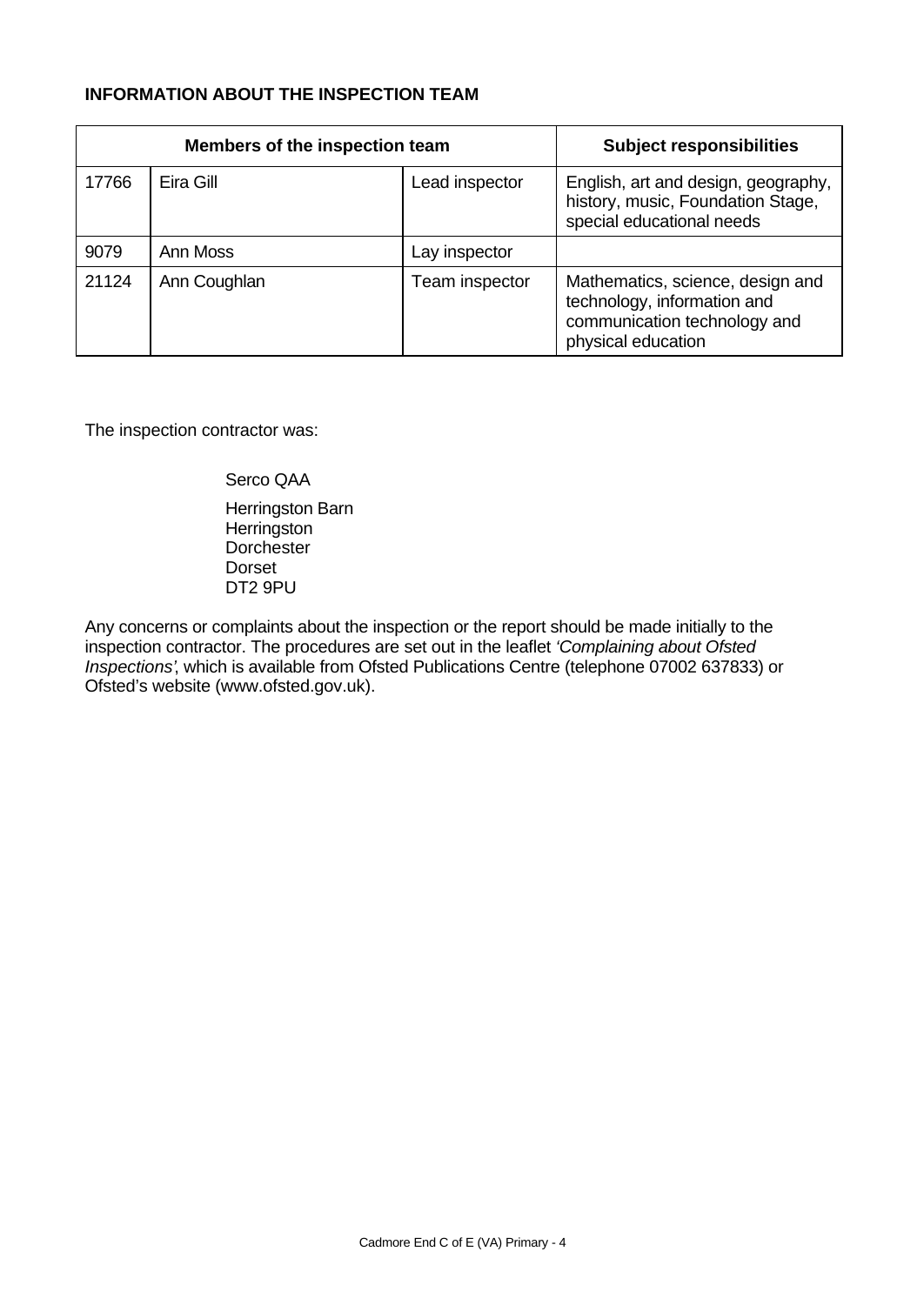## **INFORMATION ABOUT THE INSPECTION TEAM**

|       | Members of the inspection team | <b>Subject responsibilities</b> |                                                                                                                       |
|-------|--------------------------------|---------------------------------|-----------------------------------------------------------------------------------------------------------------------|
| 17766 | Eira Gill                      | Lead inspector                  | English, art and design, geography,<br>history, music, Foundation Stage,<br>special educational needs                 |
| 9079  | Ann Moss                       | Lay inspector                   |                                                                                                                       |
| 21124 | Ann Coughlan                   | Team inspector                  | Mathematics, science, design and<br>technology, information and<br>communication technology and<br>physical education |

The inspection contractor was:

Serco QAA

Herringston Barn **Herringston Dorchester** Dorset DT2 9PU

Any concerns or complaints about the inspection or the report should be made initially to the inspection contractor. The procedures are set out in the leaflet *'Complaining about Ofsted Inspections'*, which is available from Ofsted Publications Centre (telephone 07002 637833) or Ofsted's website (www.ofsted.gov.uk).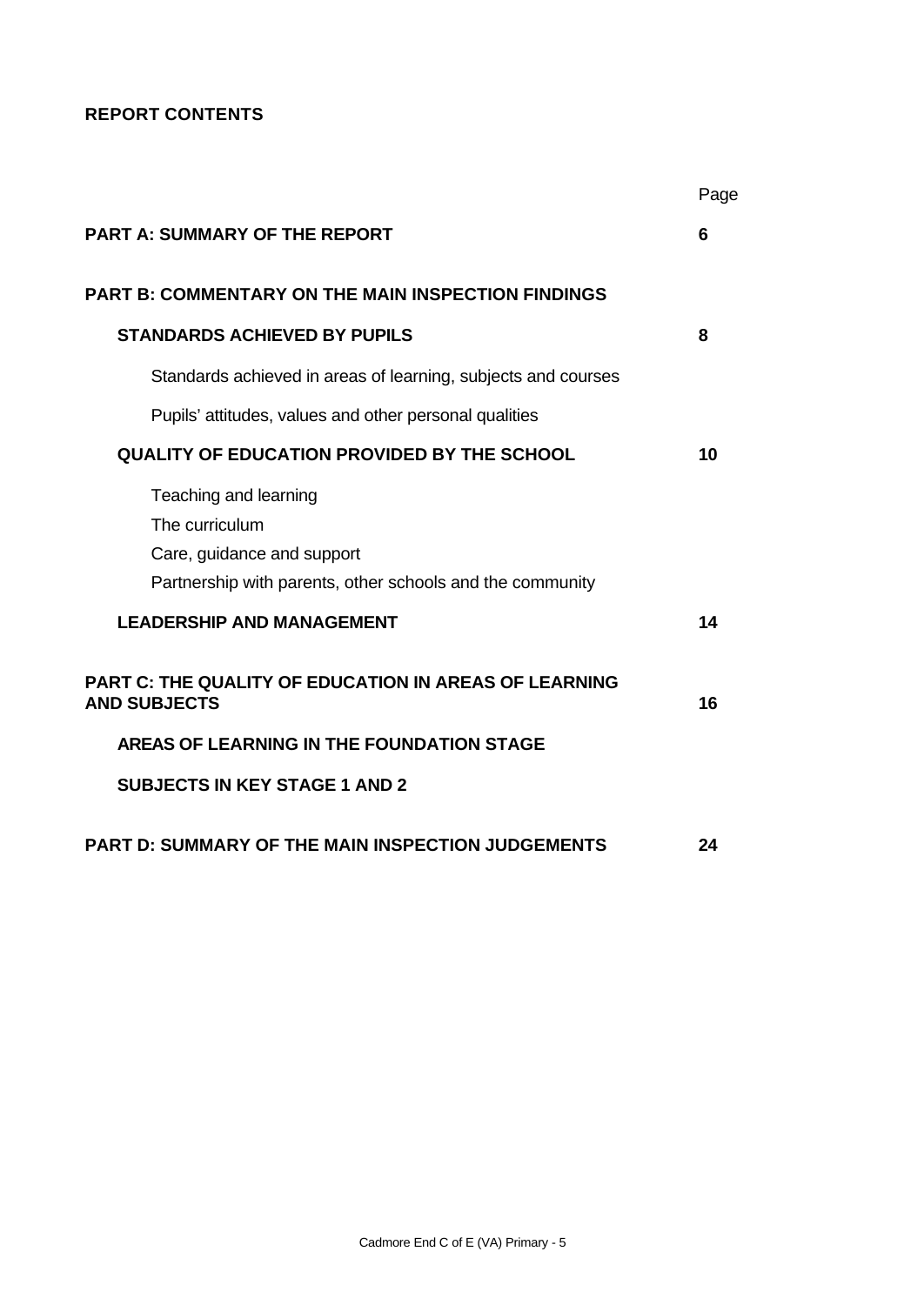# **REPORT CONTENTS**

|                                                                                                                                    | Page |
|------------------------------------------------------------------------------------------------------------------------------------|------|
| <b>PART A: SUMMARY OF THE REPORT</b>                                                                                               | 6    |
| <b>PART B: COMMENTARY ON THE MAIN INSPECTION FINDINGS</b>                                                                          |      |
| <b>STANDARDS ACHIEVED BY PUPILS</b>                                                                                                | 8    |
| Standards achieved in areas of learning, subjects and courses                                                                      |      |
| Pupils' attitudes, values and other personal qualities                                                                             |      |
| <b>QUALITY OF EDUCATION PROVIDED BY THE SCHOOL</b>                                                                                 | 10   |
| Teaching and learning<br>The curriculum<br>Care, guidance and support<br>Partnership with parents, other schools and the community |      |
| <b>LEADERSHIP AND MANAGEMENT</b>                                                                                                   | 14   |
| <b>PART C: THE QUALITY OF EDUCATION IN AREAS OF LEARNING</b><br><b>AND SUBJECTS</b>                                                | 16   |
| AREAS OF LEARNING IN THE FOUNDATION STAGE                                                                                          |      |
| <b>SUBJECTS IN KEY STAGE 1 AND 2</b>                                                                                               |      |
| <b>PART D: SUMMARY OF THE MAIN INSPECTION JUDGEMENTS</b>                                                                           | 24   |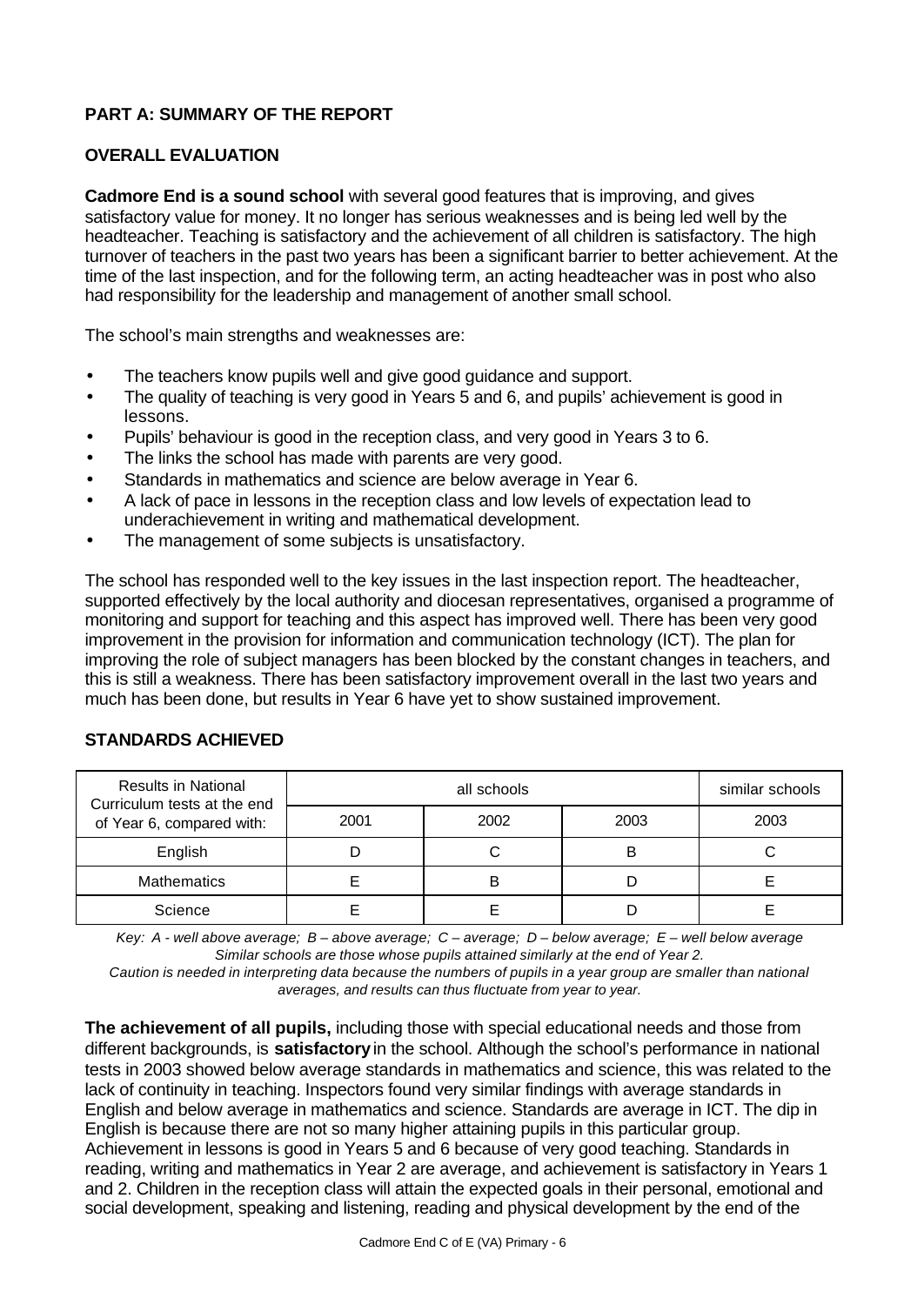## **PART A: SUMMARY OF THE REPORT**

### **OVERALL EVALUATION**

**Cadmore End is a sound school** with several good features that is improving, and gives satisfactory value for money. It no longer has serious weaknesses and is being led well by the headteacher. Teaching is satisfactory and the achievement of all children is satisfactory. The high turnover of teachers in the past two years has been a significant barrier to better achievement. At the time of the last inspection, and for the following term, an acting headteacher was in post who also had responsibility for the leadership and management of another small school.

The school's main strengths and weaknesses are:

- The teachers know pupils well and give good guidance and support.
- The quality of teaching is very good in Years 5 and 6, and pupils' achievement is good in lessons.
- Pupils' behaviour is good in the reception class, and very good in Years 3 to 6.
- The links the school has made with parents are very good.
- Standards in mathematics and science are below average in Year 6.
- A lack of pace in lessons in the reception class and low levels of expectation lead to underachievement in writing and mathematical development.
- The management of some subjects is unsatisfactory.

The school has responded well to the key issues in the last inspection report. The headteacher, supported effectively by the local authority and diocesan representatives, organised a programme of monitoring and support for teaching and this aspect has improved well. There has been very good improvement in the provision for information and communication technology (ICT). The plan for improving the role of subject managers has been blocked by the constant changes in teachers, and this is still a weakness. There has been satisfactory improvement overall in the last two years and much has been done, but results in Year 6 have yet to show sustained improvement.

### **STANDARDS ACHIEVED**

| <b>Results in National</b><br>Curriculum tests at the end<br>of Year 6, compared with: |      | similar schools |      |      |
|----------------------------------------------------------------------------------------|------|-----------------|------|------|
|                                                                                        | 2001 | 2002            | 2003 | 2003 |
| English                                                                                |      |                 | B    |      |
| Mathematics                                                                            |      |                 |      |      |
| Science                                                                                |      |                 |      |      |

*Key: A - well above average; B – above average; C – average; D – below average; E – well below average Similar schools are those whose pupils attained similarly at the end of Year 2.*

*Caution is needed in interpreting data because the numbers of pupils in a year group are smaller than national averages, and results can thus fluctuate from year to year.*

**The achievement of all pupils,** including those with special educational needs and those from different backgrounds, is **satisfactory** in the school. Although the school's performance in national tests in 2003 showed below average standards in mathematics and science, this was related to the lack of continuity in teaching. Inspectors found very similar findings with average standards in English and below average in mathematics and science. Standards are average in ICT. The dip in English is because there are not so many higher attaining pupils in this particular group. Achievement in lessons is good in Years 5 and 6 because of very good teaching. Standards in reading, writing and mathematics in Year 2 are average, and achievement is satisfactory in Years 1 and 2. Children in the reception class will attain the expected goals in their personal, emotional and social development, speaking and listening, reading and physical development by the end of the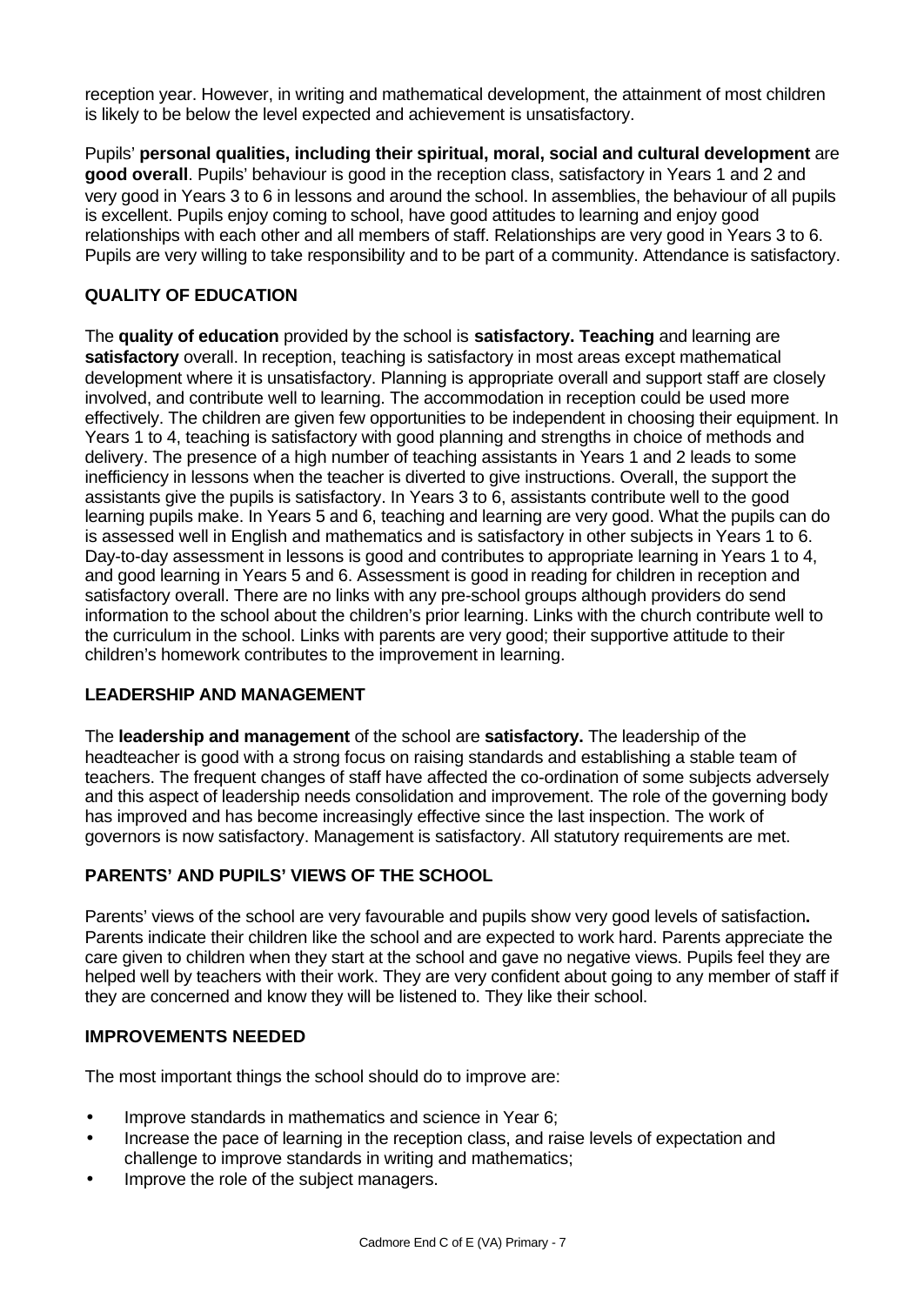reception year. However, in writing and mathematical development, the attainment of most children is likely to be below the level expected and achievement is unsatisfactory.

Pupils' **personal qualities, including their spiritual, moral, social and cultural development** are **good overall**. Pupils' behaviour is good in the reception class, satisfactory in Years 1 and 2 and very good in Years 3 to 6 in lessons and around the school. In assemblies, the behaviour of all pupils is excellent. Pupils enjoy coming to school, have good attitudes to learning and enjoy good relationships with each other and all members of staff. Relationships are very good in Years 3 to 6. Pupils are very willing to take responsibility and to be part of a community. Attendance is satisfactory.

## **QUALITY OF EDUCATION**

The **quality of education** provided by the school is **satisfactory. Teaching** and learning are **satisfactory** overall. In reception, teaching is satisfactory in most areas except mathematical development where it is unsatisfactory. Planning is appropriate overall and support staff are closely involved, and contribute well to learning. The accommodation in reception could be used more effectively. The children are given few opportunities to be independent in choosing their equipment. In Years 1 to 4, teaching is satisfactory with good planning and strengths in choice of methods and delivery. The presence of a high number of teaching assistants in Years 1 and 2 leads to some inefficiency in lessons when the teacher is diverted to give instructions. Overall, the support the assistants give the pupils is satisfactory. In Years 3 to 6, assistants contribute well to the good learning pupils make. In Years 5 and 6, teaching and learning are very good. What the pupils can do is assessed well in English and mathematics and is satisfactory in other subjects in Years 1 to 6. Day-to-day assessment in lessons is good and contributes to appropriate learning in Years 1 to 4, and good learning in Years 5 and 6. Assessment is good in reading for children in reception and satisfactory overall. There are no links with any pre-school groups although providers do send information to the school about the children's prior learning. Links with the church contribute well to the curriculum in the school. Links with parents are very good; their supportive attitude to their children's homework contributes to the improvement in learning.

### **LEADERSHIP AND MANAGEMENT**

The **leadership and management** of the school are **satisfactory.** The leadership of the headteacher is good with a strong focus on raising standards and establishing a stable team of teachers. The frequent changes of staff have affected the co-ordination of some subjects adversely and this aspect of leadership needs consolidation and improvement. The role of the governing body has improved and has become increasingly effective since the last inspection. The work of governors is now satisfactory. Management is satisfactory. All statutory requirements are met.

## **PARENTS' AND PUPILS' VIEWS OF THE SCHOOL**

Parents' views of the school are very favourable and pupils show very good levels of satisfaction**.** Parents indicate their children like the school and are expected to work hard. Parents appreciate the care given to children when they start at the school and gave no negative views. Pupils feel they are helped well by teachers with their work. They are very confident about going to any member of staff if they are concerned and know they will be listened to. They like their school.

### **IMPROVEMENTS NEEDED**

The most important things the school should do to improve are:

- Improve standards in mathematics and science in Year 6;
- Increase the pace of learning in the reception class, and raise levels of expectation and challenge to improve standards in writing and mathematics;
- Improve the role of the subject managers.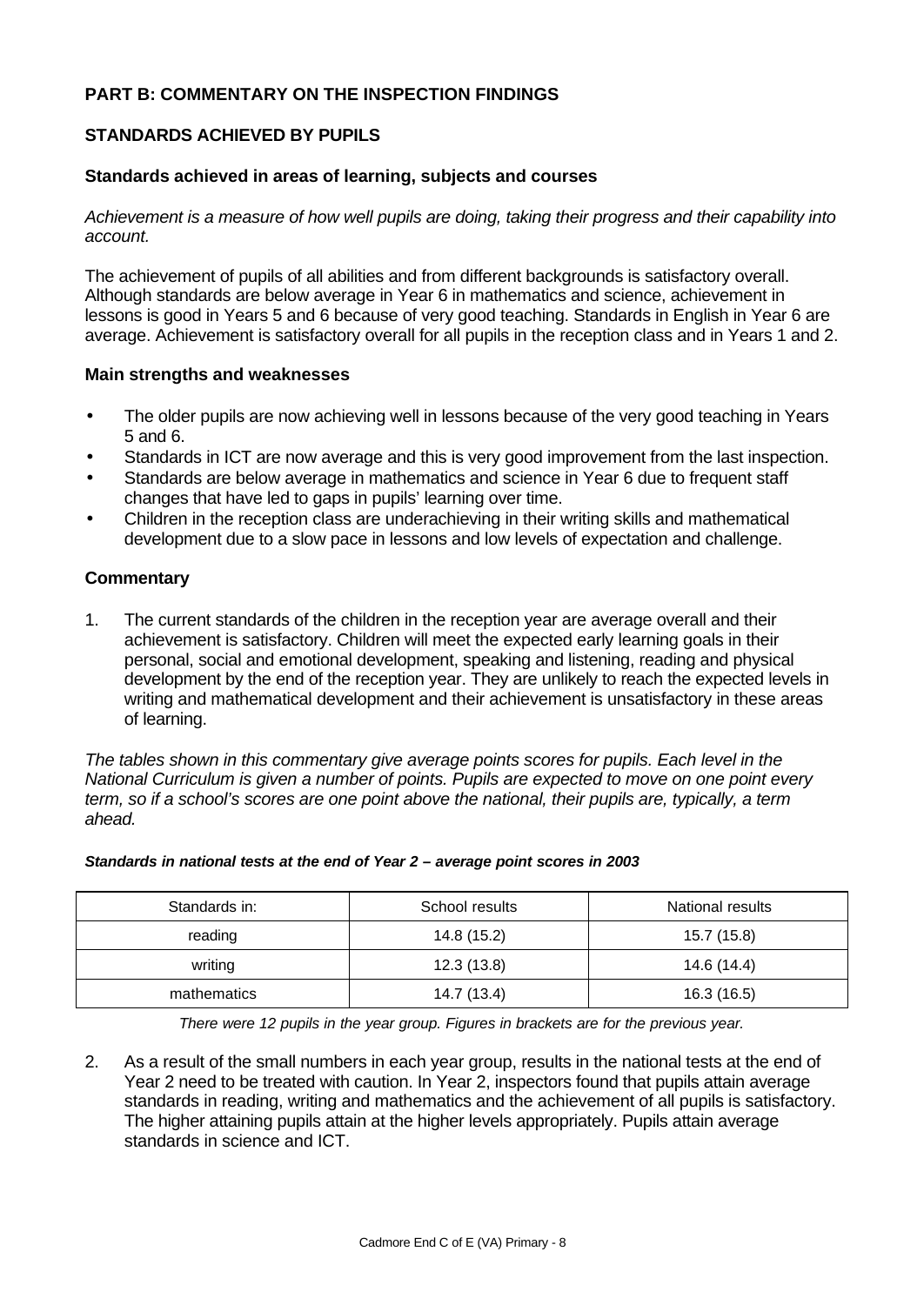### **PART B: COMMENTARY ON THE INSPECTION FINDINGS**

### **STANDARDS ACHIEVED BY PUPILS**

### **Standards achieved in areas of learning, subjects and courses**

*Achievement is a measure of how well pupils are doing, taking their progress and their capability into account.*

The achievement of pupils of all abilities and from different backgrounds is satisfactory overall. Although standards are below average in Year 6 in mathematics and science, achievement in lessons is good in Years 5 and 6 because of very good teaching. Standards in English in Year 6 are average. Achievement is satisfactory overall for all pupils in the reception class and in Years 1 and 2.

#### **Main strengths and weaknesses**

- The older pupils are now achieving well in lessons because of the very good teaching in Years 5 and 6.
- Standards in ICT are now average and this is very good improvement from the last inspection.
- Standards are below average in mathematics and science in Year 6 due to frequent staff changes that have led to gaps in pupils' learning over time.
- Children in the reception class are underachieving in their writing skills and mathematical development due to a slow pace in lessons and low levels of expectation and challenge.

### **Commentary**

1. The current standards of the children in the reception year are average overall and their achievement is satisfactory. Children will meet the expected early learning goals in their personal, social and emotional development, speaking and listening, reading and physical development by the end of the reception year. They are unlikely to reach the expected levels in writing and mathematical development and their achievement is unsatisfactory in these areas of learning.

*The tables shown in this commentary give average points scores for pupils. Each level in the National Curriculum is given a number of points. Pupils are expected to move on one point every term, so if a school's scores are one point above the national, their pupils are, typically, a term ahead.*

| Standards in: | School results | National results |
|---------------|----------------|------------------|
| reading       | 14.8 (15.2)    | 15.7 (15.8)      |
| writing       | 12.3(13.8)     | 14.6 (14.4)      |
| mathematics   | 14.7 (13.4)    | 16.3(16.5)       |

#### *Standards in national tests at the end of Year 2 – average point scores in 2003*

*There were 12 pupils in the year group. Figures in brackets are for the previous year.*

2. As a result of the small numbers in each year group, results in the national tests at the end of Year 2 need to be treated with caution. In Year 2, inspectors found that pupils attain average standards in reading, writing and mathematics and the achievement of all pupils is satisfactory. The higher attaining pupils attain at the higher levels appropriately. Pupils attain average standards in science and ICT.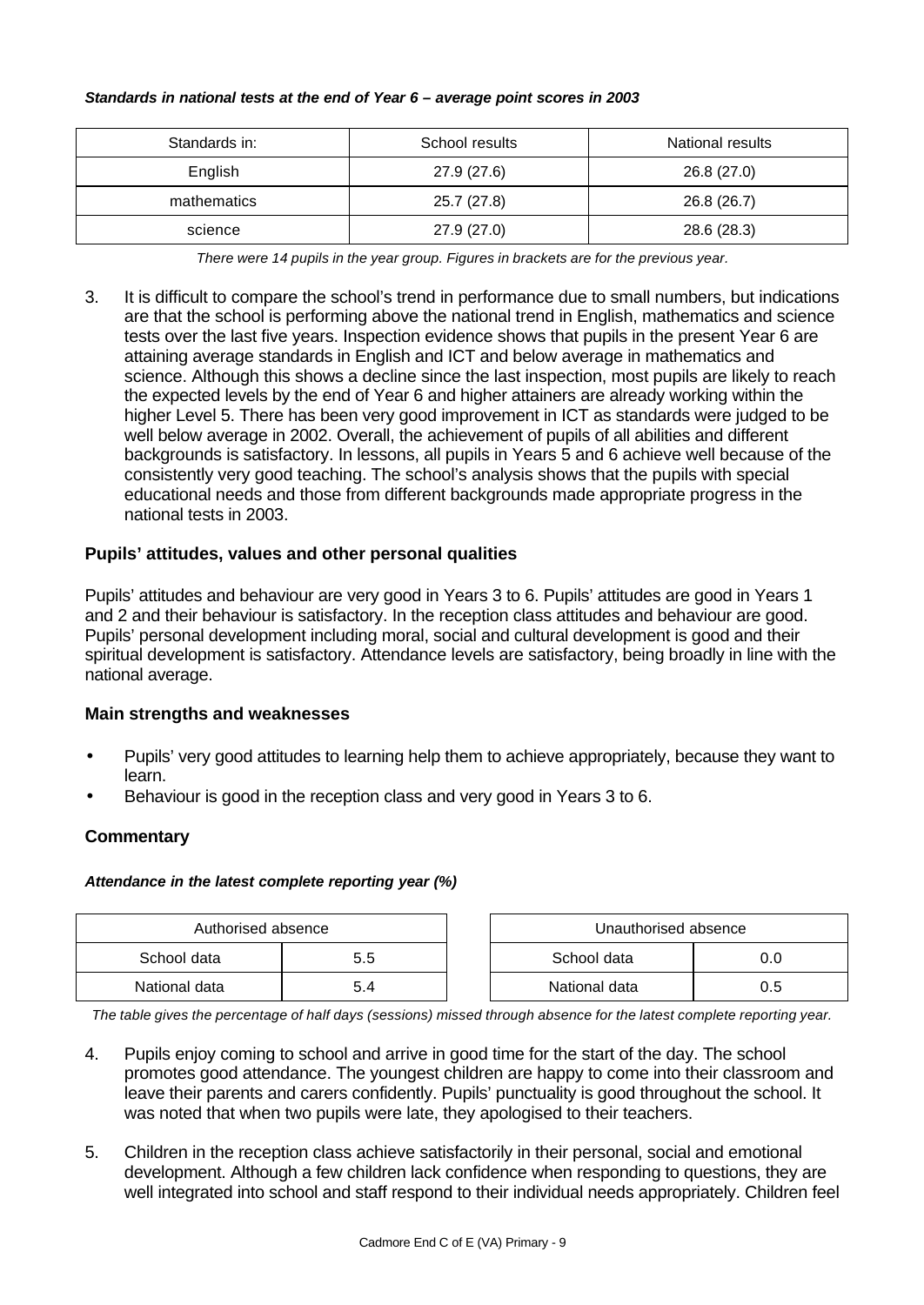#### *Standards in national tests at the end of Year 6 – average point scores in 2003*

| Standards in: | School results | National results |
|---------------|----------------|------------------|
| English       | 27.9 (27.6)    | 26.8 (27.0)      |
| mathematics   | 25.7 (27.8)    | 26.8 (26.7)      |
| science       | 27.9 (27.0)    | 28.6 (28.3)      |

*There were 14 pupils in the year group. Figures in brackets are for the previous year.*

3. It is difficult to compare the school's trend in performance due to small numbers, but indications are that the school is performing above the national trend in English, mathematics and science tests over the last five years. Inspection evidence shows that pupils in the present Year 6 are attaining average standards in English and ICT and below average in mathematics and science. Although this shows a decline since the last inspection, most pupils are likely to reach the expected levels by the end of Year 6 and higher attainers are already working within the higher Level 5. There has been very good improvement in ICT as standards were judged to be well below average in 2002. Overall, the achievement of pupils of all abilities and different backgrounds is satisfactory. In lessons, all pupils in Years 5 and 6 achieve well because of the consistently very good teaching. The school's analysis shows that the pupils with special educational needs and those from different backgrounds made appropriate progress in the national tests in 2003.

### **Pupils' attitudes, values and other personal qualities**

Pupils' attitudes and behaviour are very good in Years 3 to 6. Pupils' attitudes are good in Years 1 and 2 and their behaviour is satisfactory. In the reception class attitudes and behaviour are good. Pupils' personal development including moral, social and cultural development is good and their spiritual development is satisfactory. Attendance levels are satisfactory, being broadly in line with the national average.

#### **Main strengths and weaknesses**

- Pupils' very good attitudes to learning help them to achieve appropriately, because they want to learn.
- Behaviour is good in the reception class and very good in Years 3 to 6.

### **Commentary**

#### *Attendance in the latest complete reporting year (%)*

| Authorised absence |     |  | Unauthorised absence |     |
|--------------------|-----|--|----------------------|-----|
| School data        | 5.5 |  | School data          |     |
| National data      | 5.4 |  | National data        | J.5 |

*The table gives the percentage of half days (sessions) missed through absence for the latest complete reporting year.*

- 4. Pupils enjoy coming to school and arrive in good time for the start of the day. The school promotes good attendance. The youngest children are happy to come into their classroom and leave their parents and carers confidently. Pupils' punctuality is good throughout the school. It was noted that when two pupils were late, they apologised to their teachers.
- 5. Children in the reception class achieve satisfactorily in their personal, social and emotional development. Although a few children lack confidence when responding to questions, they are well integrated into school and staff respond to their individual needs appropriately. Children feel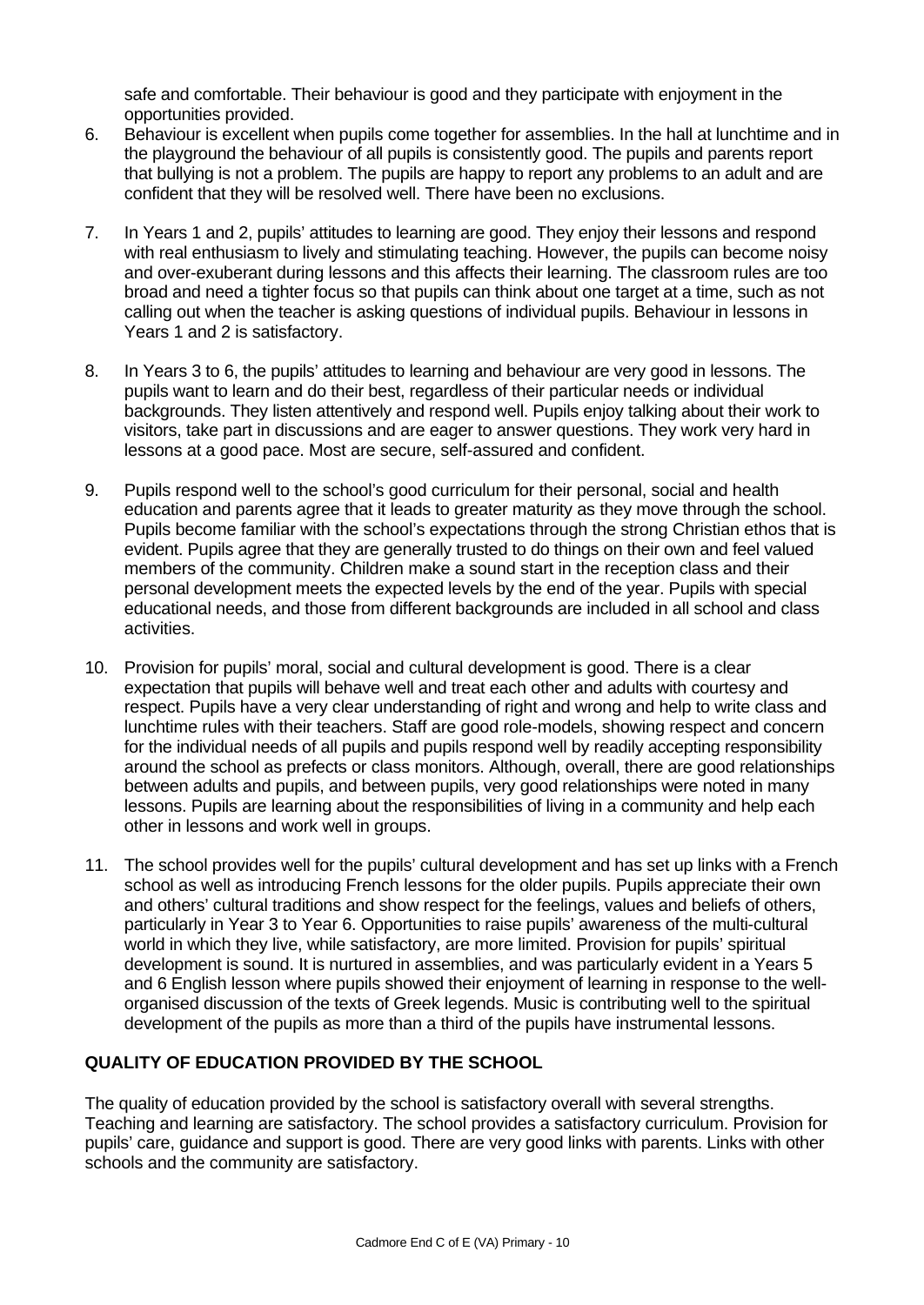safe and comfortable. Their behaviour is good and they participate with enjoyment in the opportunities provided.

- 6. Behaviour is excellent when pupils come together for assemblies. In the hall at lunchtime and in the playground the behaviour of all pupils is consistently good. The pupils and parents report that bullying is not a problem. The pupils are happy to report any problems to an adult and are confident that they will be resolved well. There have been no exclusions.
- 7. In Years 1 and 2, pupils' attitudes to learning are good. They enjoy their lessons and respond with real enthusiasm to lively and stimulating teaching. However, the pupils can become noisy and over-exuberant during lessons and this affects their learning. The classroom rules are too broad and need a tighter focus so that pupils can think about one target at a time, such as not calling out when the teacher is asking questions of individual pupils. Behaviour in lessons in Years 1 and 2 is satisfactory.
- 8. In Years 3 to 6, the pupils' attitudes to learning and behaviour are very good in lessons. The pupils want to learn and do their best, regardless of their particular needs or individual backgrounds. They listen attentively and respond well. Pupils enjoy talking about their work to visitors, take part in discussions and are eager to answer questions. They work very hard in lessons at a good pace. Most are secure, self-assured and confident.
- 9. Pupils respond well to the school's good curriculum for their personal, social and health education and parents agree that it leads to greater maturity as they move through the school. Pupils become familiar with the school's expectations through the strong Christian ethos that is evident. Pupils agree that they are generally trusted to do things on their own and feel valued members of the community. Children make a sound start in the reception class and their personal development meets the expected levels by the end of the year. Pupils with special educational needs, and those from different backgrounds are included in all school and class activities.
- 10. Provision for pupils' moral, social and cultural development is good. There is a clear expectation that pupils will behave well and treat each other and adults with courtesy and respect. Pupils have a very clear understanding of right and wrong and help to write class and lunchtime rules with their teachers. Staff are good role-models, showing respect and concern for the individual needs of all pupils and pupils respond well by readily accepting responsibility around the school as prefects or class monitors. Although, overall, there are good relationships between adults and pupils, and between pupils, very good relationships were noted in many lessons. Pupils are learning about the responsibilities of living in a community and help each other in lessons and work well in groups.
- 11. The school provides well for the pupils' cultural development and has set up links with a French school as well as introducing French lessons for the older pupils. Pupils appreciate their own and others' cultural traditions and show respect for the feelings, values and beliefs of others, particularly in Year 3 to Year 6. Opportunities to raise pupils' awareness of the multi-cultural world in which they live, while satisfactory, are more limited. Provision for pupils' spiritual development is sound. It is nurtured in assemblies, and was particularly evident in a Years 5 and 6 English lesson where pupils showed their enjoyment of learning in response to the wellorganised discussion of the texts of Greek legends. Music is contributing well to the spiritual development of the pupils as more than a third of the pupils have instrumental lessons.

### **QUALITY OF EDUCATION PROVIDED BY THE SCHOOL**

The quality of education provided by the school is satisfactory overall with several strengths. Teaching and learning are satisfactory. The school provides a satisfactory curriculum. Provision for pupils' care, guidance and support is good. There are very good links with parents. Links with other schools and the community are satisfactory.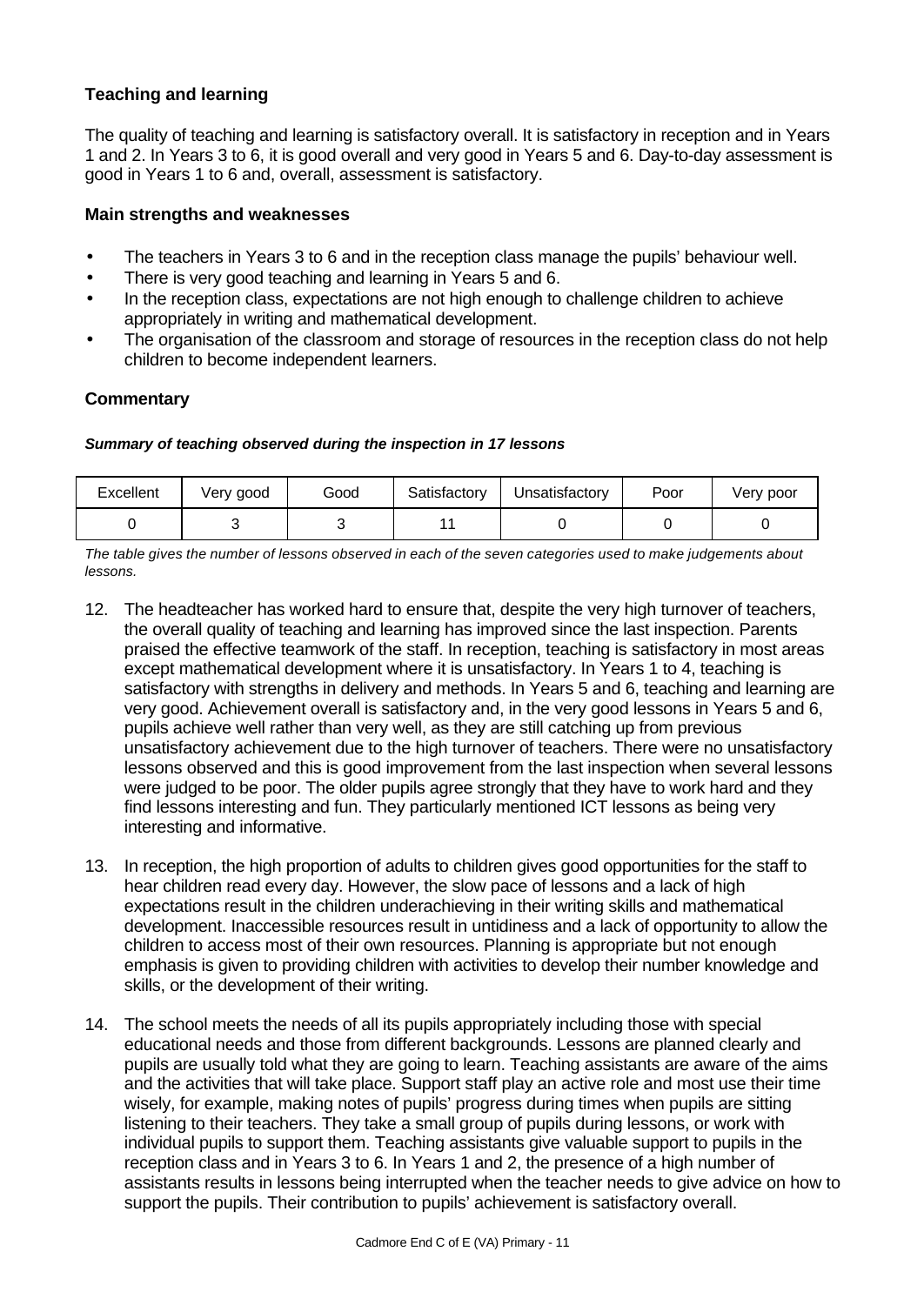### **Teaching and learning**

The quality of teaching and learning is satisfactory overall. It is satisfactory in reception and in Years 1 and 2. In Years 3 to 6, it is good overall and very good in Years 5 and 6. Day-to-day assessment is good in Years 1 to 6 and, overall, assessment is satisfactory.

### **Main strengths and weaknesses**

- The teachers in Years 3 to 6 and in the reception class manage the pupils' behaviour well.
- There is very good teaching and learning in Years 5 and 6.
- In the reception class, expectations are not high enough to challenge children to achieve appropriately in writing and mathematical development.
- The organisation of the classroom and storage of resources in the reception class do not help children to become independent learners.

### **Commentary**

#### *Summary of teaching observed during the inspection in 17 lessons*

| Excellent | Very good | Good | Satisfactory | Unsatisfactory | Poor | Very poor |
|-----------|-----------|------|--------------|----------------|------|-----------|
|           |           |      |              |                |      |           |

*The table gives the number of lessons observed in each of the seven categories used to make judgements about lessons.*

- 12. The headteacher has worked hard to ensure that, despite the very high turnover of teachers, the overall quality of teaching and learning has improved since the last inspection. Parents praised the effective teamwork of the staff. In reception, teaching is satisfactory in most areas except mathematical development where it is unsatisfactory. In Years 1 to 4, teaching is satisfactory with strengths in delivery and methods. In Years 5 and 6, teaching and learning are very good. Achievement overall is satisfactory and, in the very good lessons in Years 5 and 6, pupils achieve well rather than very well, as they are still catching up from previous unsatisfactory achievement due to the high turnover of teachers. There were no unsatisfactory lessons observed and this is good improvement from the last inspection when several lessons were judged to be poor. The older pupils agree strongly that they have to work hard and they find lessons interesting and fun. They particularly mentioned ICT lessons as being very interesting and informative.
- 13. In reception, the high proportion of adults to children gives good opportunities for the staff to hear children read every day. However, the slow pace of lessons and a lack of high expectations result in the children underachieving in their writing skills and mathematical development. Inaccessible resources result in untidiness and a lack of opportunity to allow the children to access most of their own resources. Planning is appropriate but not enough emphasis is given to providing children with activities to develop their number knowledge and skills, or the development of their writing.
- 14. The school meets the needs of all its pupils appropriately including those with special educational needs and those from different backgrounds. Lessons are planned clearly and pupils are usually told what they are going to learn. Teaching assistants are aware of the aims and the activities that will take place. Support staff play an active role and most use their time wisely, for example, making notes of pupils' progress during times when pupils are sitting listening to their teachers. They take a small group of pupils during lessons, or work with individual pupils to support them. Teaching assistants give valuable support to pupils in the reception class and in Years 3 to 6. In Years 1 and 2, the presence of a high number of assistants results in lessons being interrupted when the teacher needs to give advice on how to support the pupils. Their contribution to pupils' achievement is satisfactory overall.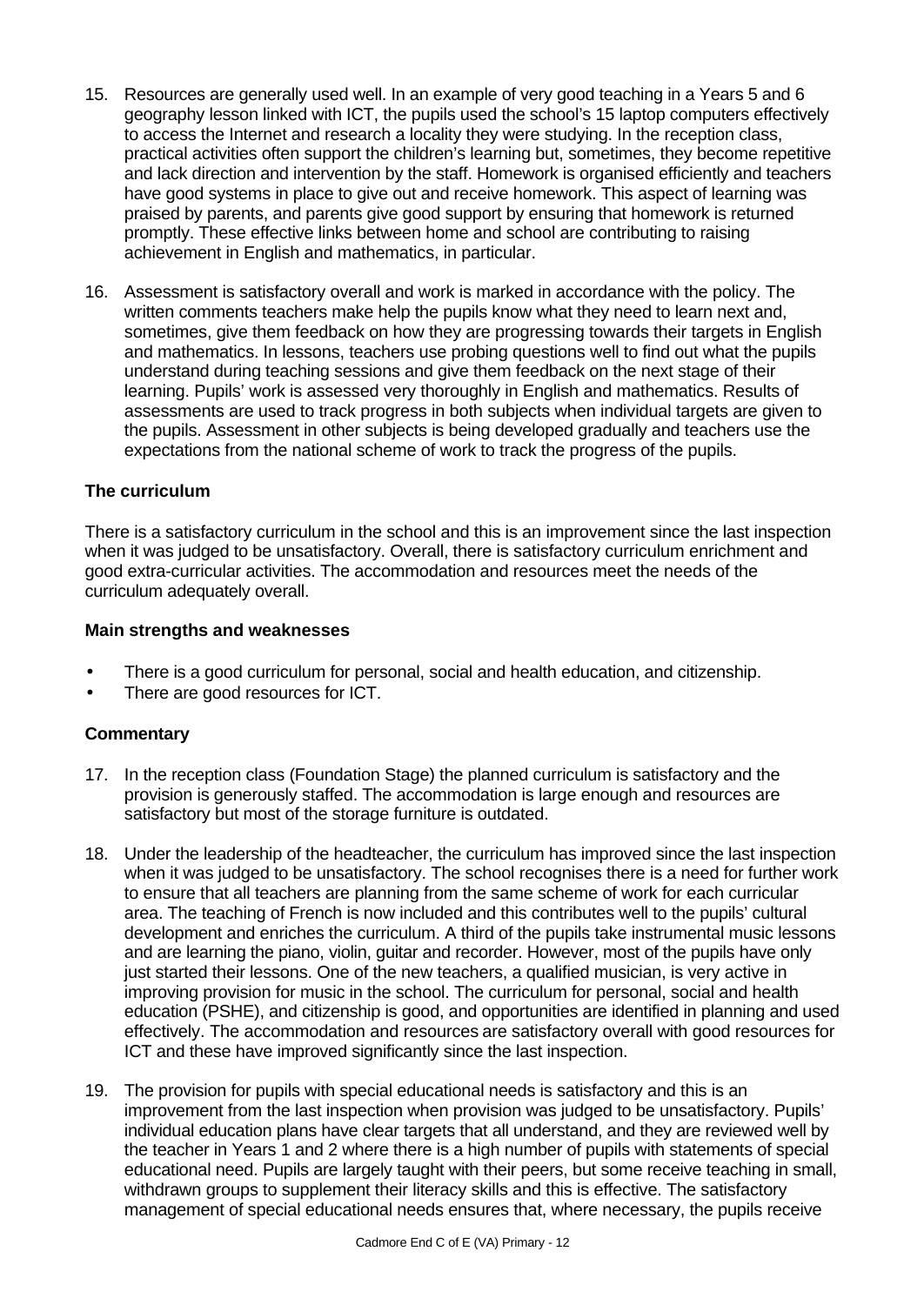- 15. Resources are generally used well. In an example of very good teaching in a Years 5 and 6 geography lesson linked with ICT, the pupils used the school's 15 laptop computers effectively to access the Internet and research a locality they were studying. In the reception class, practical activities often support the children's learning but, sometimes, they become repetitive and lack direction and intervention by the staff. Homework is organised efficiently and teachers have good systems in place to give out and receive homework. This aspect of learning was praised by parents, and parents give good support by ensuring that homework is returned promptly. These effective links between home and school are contributing to raising achievement in English and mathematics, in particular.
- 16. Assessment is satisfactory overall and work is marked in accordance with the policy. The written comments teachers make help the pupils know what they need to learn next and, sometimes, give them feedback on how they are progressing towards their targets in English and mathematics. In lessons, teachers use probing questions well to find out what the pupils understand during teaching sessions and give them feedback on the next stage of their learning. Pupils' work is assessed very thoroughly in English and mathematics. Results of assessments are used to track progress in both subjects when individual targets are given to the pupils. Assessment in other subjects is being developed gradually and teachers use the expectations from the national scheme of work to track the progress of the pupils.

### **The curriculum**

There is a satisfactory curriculum in the school and this is an improvement since the last inspection when it was judged to be unsatisfactory. Overall, there is satisfactory curriculum enrichment and good extra-curricular activities. The accommodation and resources meet the needs of the curriculum adequately overall.

### **Main strengths and weaknesses**

- There is a good curriculum for personal, social and health education, and citizenship.
- There are good resources for ICT.

### **Commentary**

- 17. In the reception class (Foundation Stage) the planned curriculum is satisfactory and the provision is generously staffed. The accommodation is large enough and resources are satisfactory but most of the storage furniture is outdated.
- 18. Under the leadership of the headteacher, the curriculum has improved since the last inspection when it was judged to be unsatisfactory. The school recognises there is a need for further work to ensure that all teachers are planning from the same scheme of work for each curricular area. The teaching of French is now included and this contributes well to the pupils' cultural development and enriches the curriculum. A third of the pupils take instrumental music lessons and are learning the piano, violin, guitar and recorder. However, most of the pupils have only just started their lessons. One of the new teachers, a qualified musician, is very active in improving provision for music in the school. The curriculum for personal, social and health education (PSHE), and citizenship is good, and opportunities are identified in planning and used effectively. The accommodation and resources are satisfactory overall with good resources for ICT and these have improved significantly since the last inspection.
- 19. The provision for pupils with special educational needs is satisfactory and this is an improvement from the last inspection when provision was judged to be unsatisfactory. Pupils' individual education plans have clear targets that all understand, and they are reviewed well by the teacher in Years 1 and 2 where there is a high number of pupils with statements of special educational need. Pupils are largely taught with their peers, but some receive teaching in small, withdrawn groups to supplement their literacy skills and this is effective. The satisfactory management of special educational needs ensures that, where necessary, the pupils receive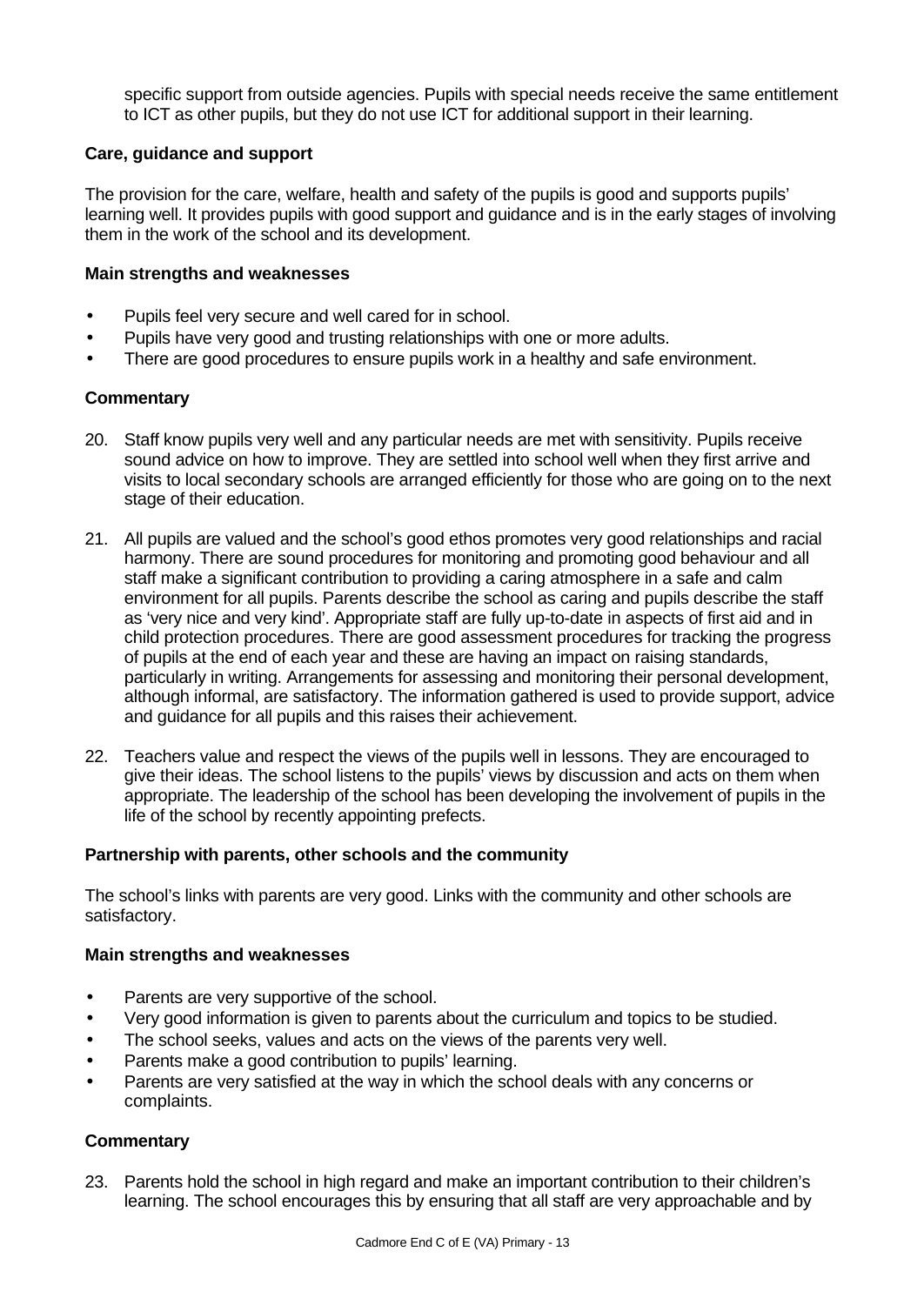specific support from outside agencies. Pupils with special needs receive the same entitlement to ICT as other pupils, but they do not use ICT for additional support in their learning.

### **Care, guidance and support**

The provision for the care, welfare, health and safety of the pupils is good and supports pupils' learning well. It provides pupils with good support and guidance and is in the early stages of involving them in the work of the school and its development.

#### **Main strengths and weaknesses**

- Pupils feel very secure and well cared for in school.
- Pupils have very good and trusting relationships with one or more adults.
- There are good procedures to ensure pupils work in a healthy and safe environment.

### **Commentary**

- 20. Staff know pupils very well and any particular needs are met with sensitivity. Pupils receive sound advice on how to improve. They are settled into school well when they first arrive and visits to local secondary schools are arranged efficiently for those who are going on to the next stage of their education.
- 21. All pupils are valued and the school's good ethos promotes very good relationships and racial harmony. There are sound procedures for monitoring and promoting good behaviour and all staff make a significant contribution to providing a caring atmosphere in a safe and calm environment for all pupils. Parents describe the school as caring and pupils describe the staff as 'very nice and very kind'. Appropriate staff are fully up-to-date in aspects of first aid and in child protection procedures. There are good assessment procedures for tracking the progress of pupils at the end of each year and these are having an impact on raising standards, particularly in writing. Arrangements for assessing and monitoring their personal development, although informal, are satisfactory. The information gathered is used to provide support, advice and guidance for all pupils and this raises their achievement.
- 22. Teachers value and respect the views of the pupils well in lessons. They are encouraged to give their ideas. The school listens to the pupils' views by discussion and acts on them when appropriate. The leadership of the school has been developing the involvement of pupils in the life of the school by recently appointing prefects.

### **Partnership with parents, other schools and the community**

The school's links with parents are very good. Links with the community and other schools are satisfactory.

### **Main strengths and weaknesses**

- Parents are very supportive of the school.
- Very good information is given to parents about the curriculum and topics to be studied.
- The school seeks, values and acts on the views of the parents very well.
- Parents make a good contribution to pupils' learning.
- Parents are very satisfied at the way in which the school deals with any concerns or complaints.

### **Commentary**

23. Parents hold the school in high regard and make an important contribution to their children's learning. The school encourages this by ensuring that all staff are very approachable and by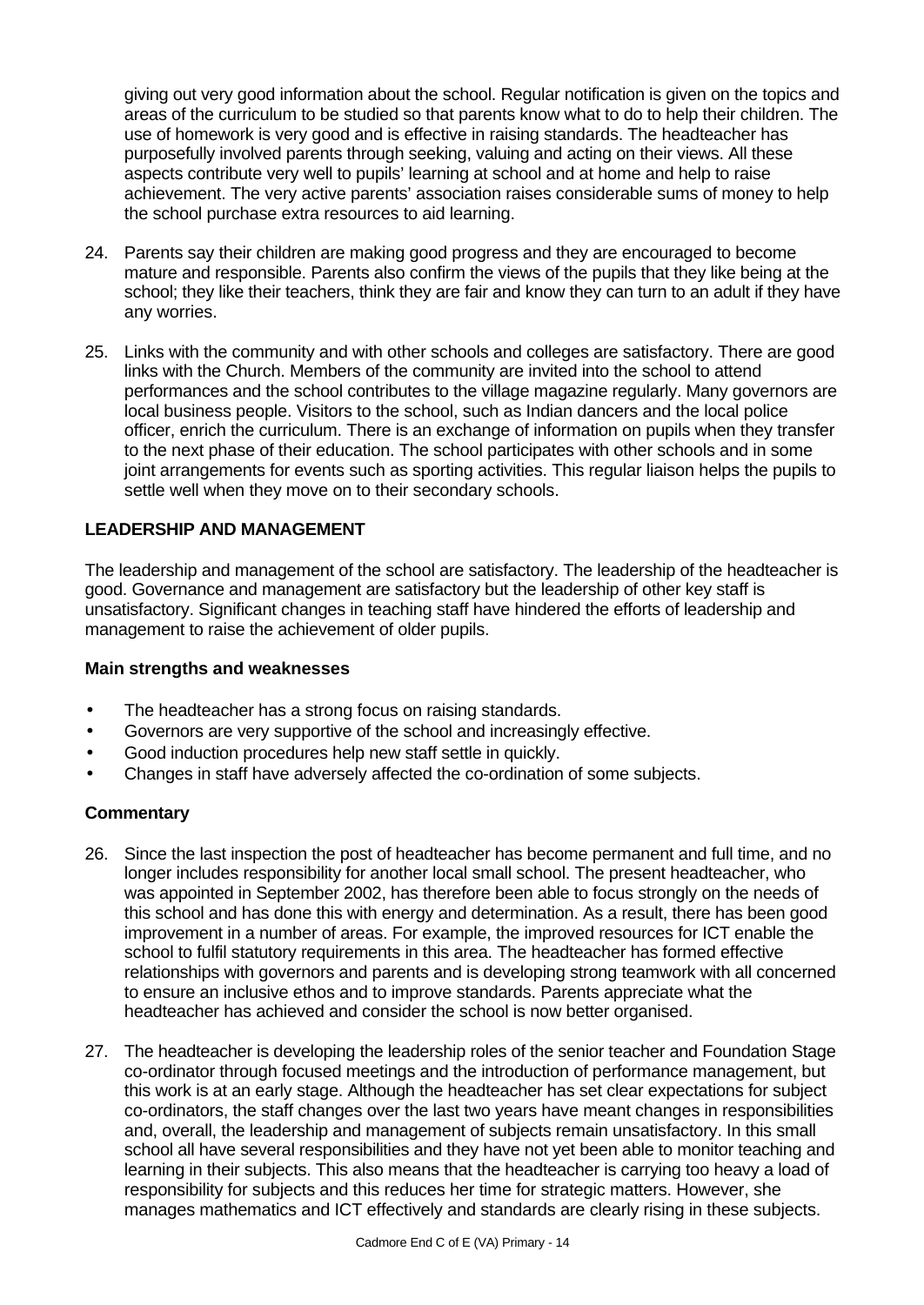giving out very good information about the school. Regular notification is given on the topics and areas of the curriculum to be studied so that parents know what to do to help their children. The use of homework is very good and is effective in raising standards. The headteacher has purposefully involved parents through seeking, valuing and acting on their views. All these aspects contribute very well to pupils' learning at school and at home and help to raise achievement. The very active parents' association raises considerable sums of money to help the school purchase extra resources to aid learning.

- 24. Parents say their children are making good progress and they are encouraged to become mature and responsible. Parents also confirm the views of the pupils that they like being at the school; they like their teachers, think they are fair and know they can turn to an adult if they have any worries.
- 25. Links with the community and with other schools and colleges are satisfactory. There are good links with the Church. Members of the community are invited into the school to attend performances and the school contributes to the village magazine regularly. Many governors are local business people. Visitors to the school, such as Indian dancers and the local police officer, enrich the curriculum. There is an exchange of information on pupils when they transfer to the next phase of their education. The school participates with other schools and in some joint arrangements for events such as sporting activities. This regular liaison helps the pupils to settle well when they move on to their secondary schools.

### **LEADERSHIP AND MANAGEMENT**

The leadership and management of the school are satisfactory. The leadership of the headteacher is good. Governance and management are satisfactory but the leadership of other key staff is unsatisfactory. Significant changes in teaching staff have hindered the efforts of leadership and management to raise the achievement of older pupils.

### **Main strengths and weaknesses**

- The headteacher has a strong focus on raising standards.
- Governors are very supportive of the school and increasingly effective.
- Good induction procedures help new staff settle in quickly.
- Changes in staff have adversely affected the co-ordination of some subjects.

### **Commentary**

- 26. Since the last inspection the post of headteacher has become permanent and full time, and no longer includes responsibility for another local small school. The present headteacher, who was appointed in September 2002, has therefore been able to focus strongly on the needs of this school and has done this with energy and determination. As a result, there has been good improvement in a number of areas. For example, the improved resources for ICT enable the school to fulfil statutory requirements in this area. The headteacher has formed effective relationships with governors and parents and is developing strong teamwork with all concerned to ensure an inclusive ethos and to improve standards. Parents appreciate what the headteacher has achieved and consider the school is now better organised.
- 27. The headteacher is developing the leadership roles of the senior teacher and Foundation Stage co-ordinator through focused meetings and the introduction of performance management, but this work is at an early stage. Although the headteacher has set clear expectations for subject co-ordinators, the staff changes over the last two years have meant changes in responsibilities and, overall, the leadership and management of subjects remain unsatisfactory. In this small school all have several responsibilities and they have not yet been able to monitor teaching and learning in their subjects. This also means that the headteacher is carrying too heavy a load of responsibility for subjects and this reduces her time for strategic matters. However, she manages mathematics and ICT effectively and standards are clearly rising in these subjects.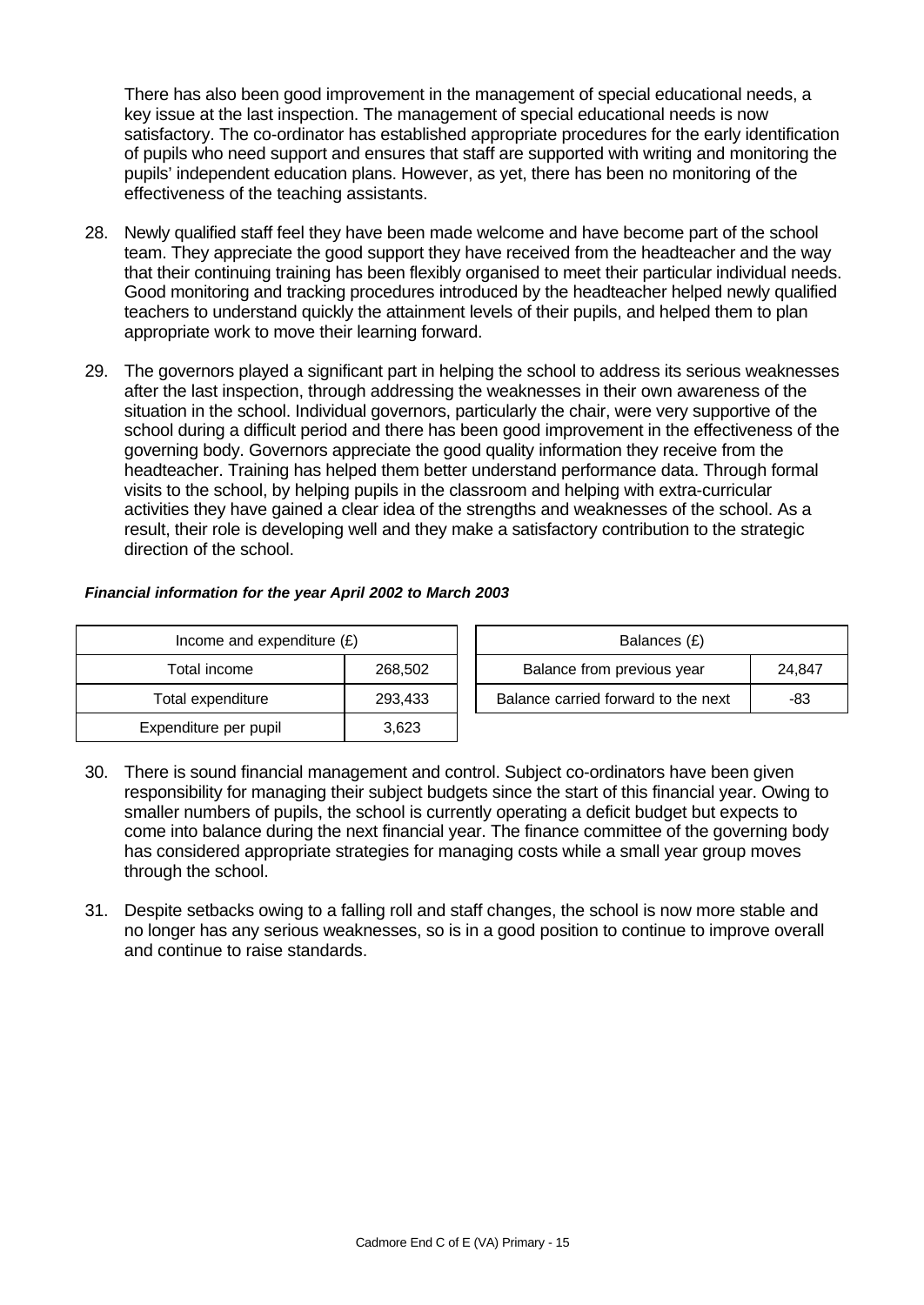There has also been good improvement in the management of special educational needs, a key issue at the last inspection. The management of special educational needs is now satisfactory. The co-ordinator has established appropriate procedures for the early identification of pupils who need support and ensures that staff are supported with writing and monitoring the pupils' independent education plans. However, as yet, there has been no monitoring of the effectiveness of the teaching assistants.

- 28. Newly qualified staff feel they have been made welcome and have become part of the school team. They appreciate the good support they have received from the headteacher and the way that their continuing training has been flexibly organised to meet their particular individual needs. Good monitoring and tracking procedures introduced by the headteacher helped newly qualified teachers to understand quickly the attainment levels of their pupils, and helped them to plan appropriate work to move their learning forward.
- 29. The governors played a significant part in helping the school to address its serious weaknesses after the last inspection, through addressing the weaknesses in their own awareness of the situation in the school. Individual governors, particularly the chair, were very supportive of the school during a difficult period and there has been good improvement in the effectiveness of the governing body. Governors appreciate the good quality information they receive from the headteacher. Training has helped them better understand performance data. Through formal visits to the school, by helping pupils in the classroom and helping with extra-curricular activities they have gained a clear idea of the strengths and weaknesses of the school. As a result, their role is developing well and they make a satisfactory contribution to the strategic direction of the school.

### *Financial information for the year April 2002 to March 2003*

| Income and expenditure $(E)$ |         |  | Balances (£)                   |
|------------------------------|---------|--|--------------------------------|
| Total income                 | 268,502 |  | Balance from previous year     |
| Total expenditure            | 293,433 |  | Balance carried forward to the |
| Expenditure per pupil        | 3,623   |  |                                |

| Income and expenditure $(E)$ |         | Balances (£)                        |        |
|------------------------------|---------|-------------------------------------|--------|
| Total income                 | 268,502 | Balance from previous year          | 24.847 |
| Total expenditure            | 293.433 | Balance carried forward to the next | -83    |

- 30. There is sound financial management and control. Subject co-ordinators have been given responsibility for managing their subject budgets since the start of this financial year. Owing to smaller numbers of pupils, the school is currently operating a deficit budget but expects to come into balance during the next financial year. The finance committee of the governing body has considered appropriate strategies for managing costs while a small year group moves through the school.
- 31. Despite setbacks owing to a falling roll and staff changes, the school is now more stable and no longer has any serious weaknesses, so is in a good position to continue to improve overall and continue to raise standards.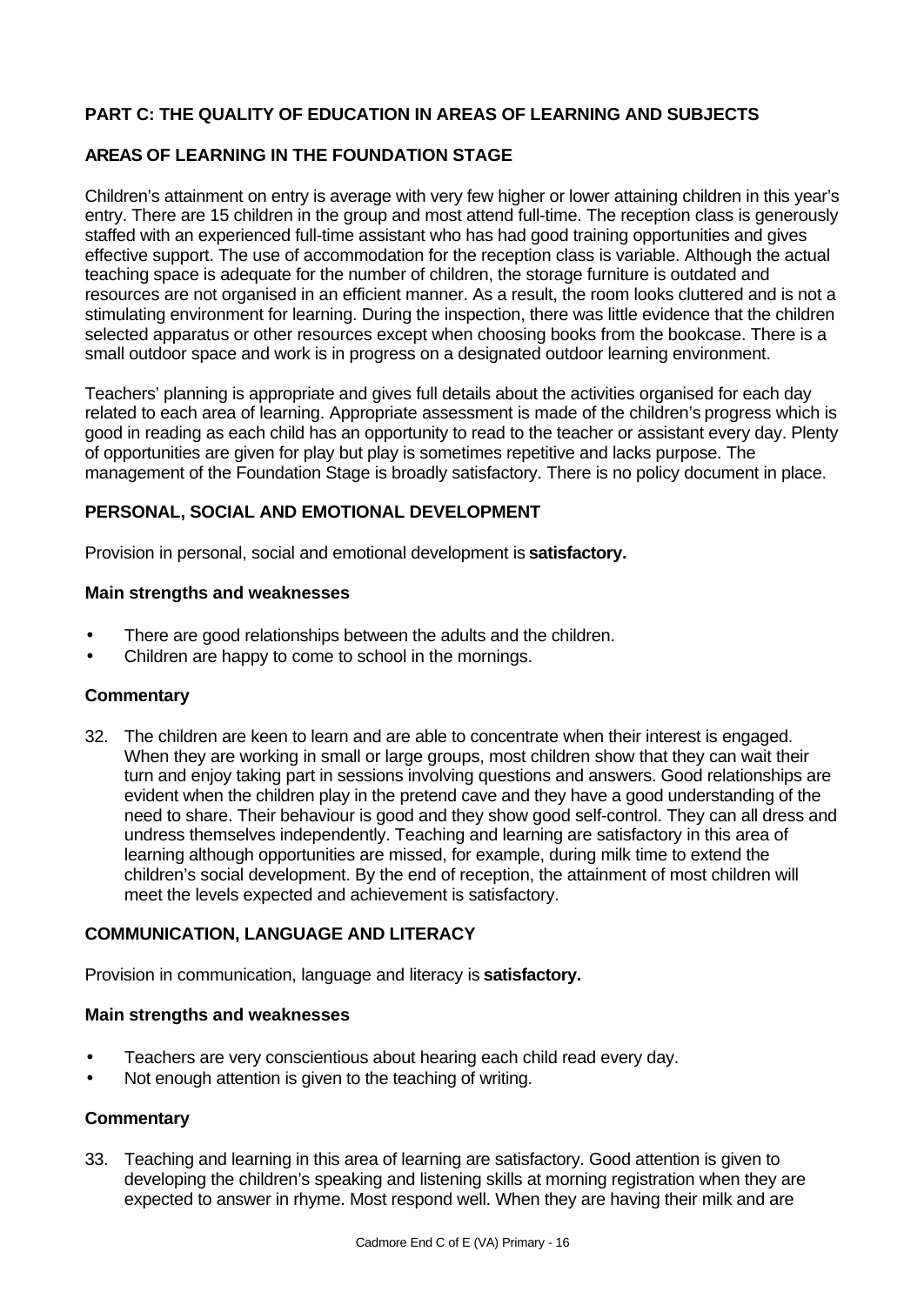## **PART C: THE QUALITY OF EDUCATION IN AREAS OF LEARNING AND SUBJECTS**

## **AREAS OF LEARNING IN THE FOUNDATION STAGE**

Children's attainment on entry is average with very few higher or lower attaining children in this year's entry. There are 15 children in the group and most attend full-time. The reception class is generously staffed with an experienced full-time assistant who has had good training opportunities and gives effective support. The use of accommodation for the reception class is variable. Although the actual teaching space is adequate for the number of children, the storage furniture is outdated and resources are not organised in an efficient manner. As a result, the room looks cluttered and is not a stimulating environment for learning. During the inspection, there was little evidence that the children selected apparatus or other resources except when choosing books from the bookcase. There is a small outdoor space and work is in progress on a designated outdoor learning environment.

Teachers' planning is appropriate and gives full details about the activities organised for each day related to each area of learning. Appropriate assessment is made of the children's progress which is good in reading as each child has an opportunity to read to the teacher or assistant every day. Plenty of opportunities are given for play but play is sometimes repetitive and lacks purpose. The management of the Foundation Stage is broadly satisfactory. There is no policy document in place.

## **PERSONAL, SOCIAL AND EMOTIONAL DEVELOPMENT**

Provision in personal, social and emotional development is **satisfactory.**

### **Main strengths and weaknesses**

- There are good relationships between the adults and the children.
- Children are happy to come to school in the mornings.

### **Commentary**

32. The children are keen to learn and are able to concentrate when their interest is engaged. When they are working in small or large groups, most children show that they can wait their turn and enjoy taking part in sessions involving questions and answers. Good relationships are evident when the children play in the pretend cave and they have a good understanding of the need to share. Their behaviour is good and they show good self-control. They can all dress and undress themselves independently. Teaching and learning are satisfactory in this area of learning although opportunities are missed, for example, during milk time to extend the children's social development. By the end of reception, the attainment of most children will meet the levels expected and achievement is satisfactory.

### **COMMUNICATION, LANGUAGE AND LITERACY**

Provision in communication, language and literacy is **satisfactory.**

#### **Main strengths and weaknesses**

- Teachers are very conscientious about hearing each child read every day.
- Not enough attention is given to the teaching of writing.

### **Commentary**

33. Teaching and learning in this area of learning are satisfactory. Good attention is given to developing the children's speaking and listening skills at morning registration when they are expected to answer in rhyme. Most respond well. When they are having their milk and are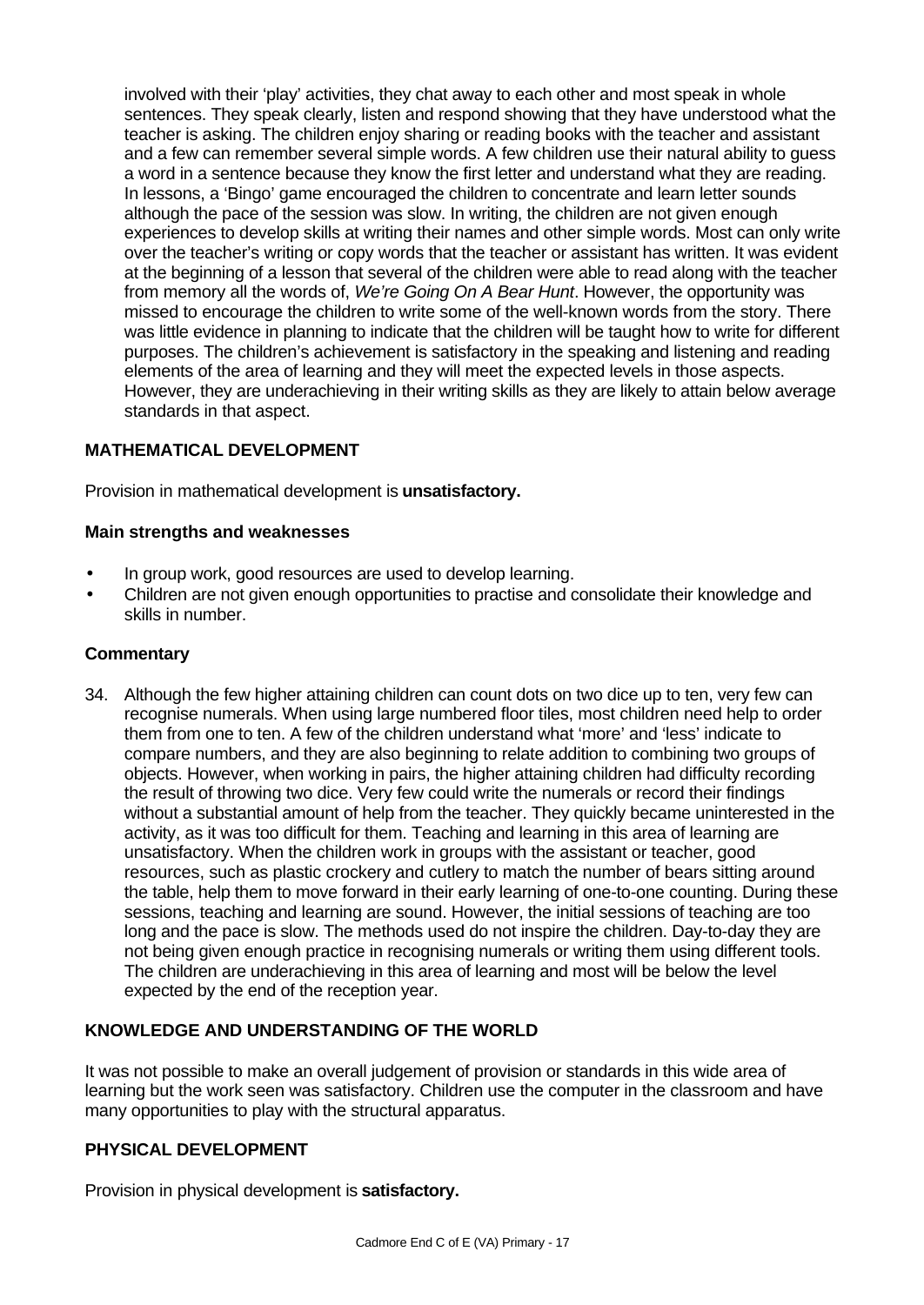involved with their 'play' activities, they chat away to each other and most speak in whole sentences. They speak clearly, listen and respond showing that they have understood what the teacher is asking. The children enjoy sharing or reading books with the teacher and assistant and a few can remember several simple words. A few children use their natural ability to guess a word in a sentence because they know the first letter and understand what they are reading. In lessons, a 'Bingo' game encouraged the children to concentrate and learn letter sounds although the pace of the session was slow. In writing, the children are not given enough experiences to develop skills at writing their names and other simple words. Most can only write over the teacher's writing or copy words that the teacher or assistant has written. It was evident at the beginning of a lesson that several of the children were able to read along with the teacher from memory all the words of, *We're Going On A Bear Hunt*. However, the opportunity was missed to encourage the children to write some of the well-known words from the story. There was little evidence in planning to indicate that the children will be taught how to write for different purposes. The children's achievement is satisfactory in the speaking and listening and reading elements of the area of learning and they will meet the expected levels in those aspects. However, they are underachieving in their writing skills as they are likely to attain below average standards in that aspect.

### **MATHEMATICAL DEVELOPMENT**

Provision in mathematical development is **unsatisfactory.**

### **Main strengths and weaknesses**

- In group work, good resources are used to develop learning.
- Children are not given enough opportunities to practise and consolidate their knowledge and skills in number.

#### **Commentary**

34. Although the few higher attaining children can count dots on two dice up to ten, very few can recognise numerals. When using large numbered floor tiles, most children need help to order them from one to ten. A few of the children understand what 'more' and 'less' indicate to compare numbers, and they are also beginning to relate addition to combining two groups of objects. However, when working in pairs, the higher attaining children had difficulty recording the result of throwing two dice. Very few could write the numerals or record their findings without a substantial amount of help from the teacher. They quickly became uninterested in the activity, as it was too difficult for them. Teaching and learning in this area of learning are unsatisfactory. When the children work in groups with the assistant or teacher, good resources, such as plastic crockery and cutlery to match the number of bears sitting around the table, help them to move forward in their early learning of one-to-one counting. During these sessions, teaching and learning are sound. However, the initial sessions of teaching are too long and the pace is slow. The methods used do not inspire the children. Day-to-day they are not being given enough practice in recognising numerals or writing them using different tools. The children are underachieving in this area of learning and most will be below the level expected by the end of the reception year.

### **KNOWLEDGE AND UNDERSTANDING OF THE WORLD**

It was not possible to make an overall judgement of provision or standards in this wide area of learning but the work seen was satisfactory. Children use the computer in the classroom and have many opportunities to play with the structural apparatus.

### **PHYSICAL DEVELOPMENT**

Provision in physical development is **satisfactory.**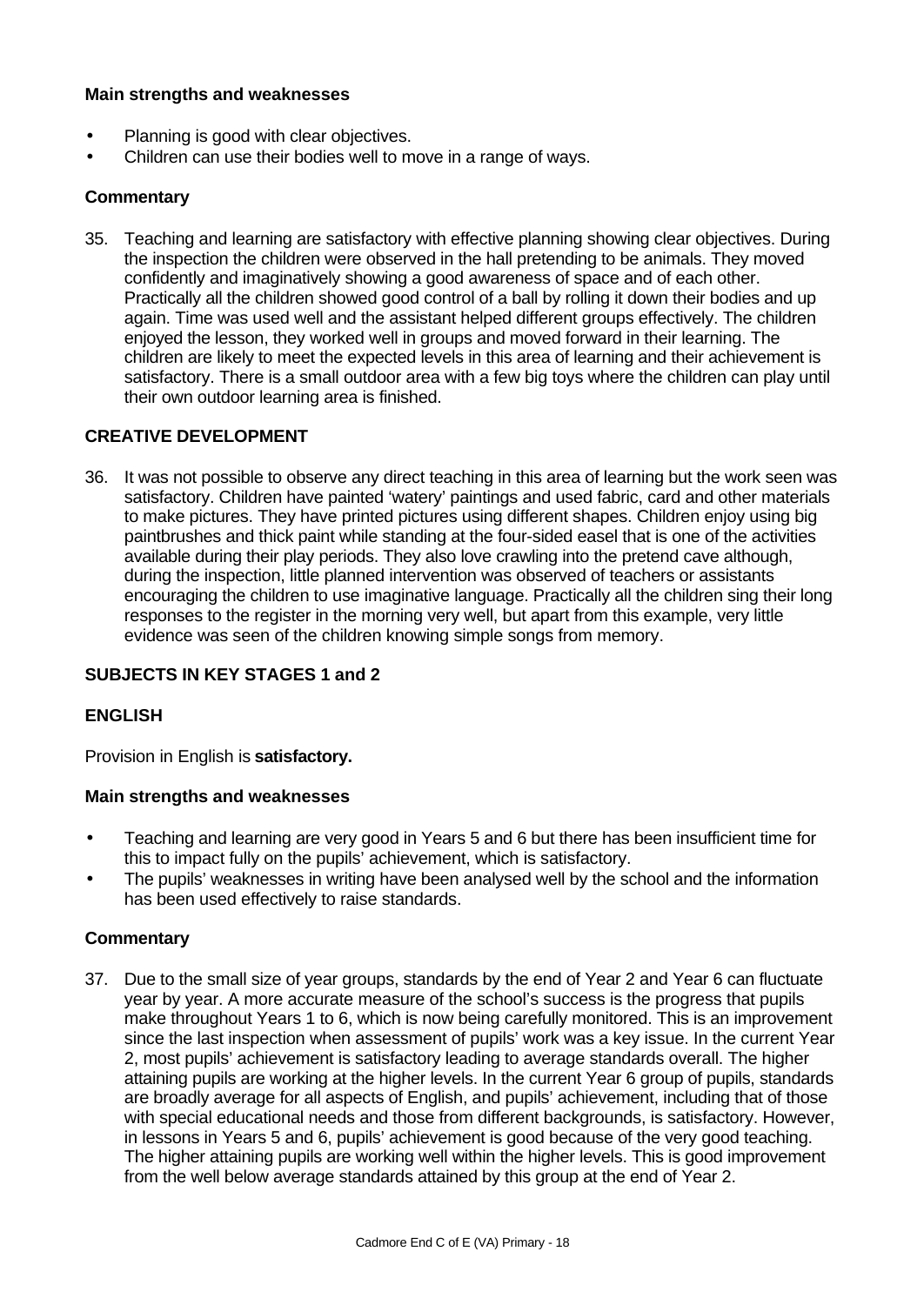### **Main strengths and weaknesses**

- Planning is good with clear objectives.
- Children can use their bodies well to move in a range of ways.

### **Commentary**

35. Teaching and learning are satisfactory with effective planning showing clear objectives. During the inspection the children were observed in the hall pretending to be animals. They moved confidently and imaginatively showing a good awareness of space and of each other. Practically all the children showed good control of a ball by rolling it down their bodies and up again. Time was used well and the assistant helped different groups effectively. The children enjoyed the lesson, they worked well in groups and moved forward in their learning. The children are likely to meet the expected levels in this area of learning and their achievement is satisfactory. There is a small outdoor area with a few big toys where the children can play until their own outdoor learning area is finished.

### **CREATIVE DEVELOPMENT**

36. It was not possible to observe any direct teaching in this area of learning but the work seen was satisfactory. Children have painted 'watery' paintings and used fabric, card and other materials to make pictures. They have printed pictures using different shapes. Children enjoy using big paintbrushes and thick paint while standing at the four-sided easel that is one of the activities available during their play periods. They also love crawling into the pretend cave although, during the inspection, little planned intervention was observed of teachers or assistants encouraging the children to use imaginative language. Practically all the children sing their long responses to the register in the morning very well, but apart from this example, very little evidence was seen of the children knowing simple songs from memory.

### **SUBJECTS IN KEY STAGES 1 and 2**

### **ENGLISH**

Provision in English is **satisfactory.**

#### **Main strengths and weaknesses**

- Teaching and learning are very good in Years 5 and 6 but there has been insufficient time for this to impact fully on the pupils' achievement, which is satisfactory.
- The pupils' weaknesses in writing have been analysed well by the school and the information has been used effectively to raise standards.

#### **Commentary**

37. Due to the small size of year groups, standards by the end of Year 2 and Year 6 can fluctuate year by year. A more accurate measure of the school's success is the progress that pupils make throughout Years 1 to 6, which is now being carefully monitored. This is an improvement since the last inspection when assessment of pupils' work was a key issue. In the current Year 2, most pupils' achievement is satisfactory leading to average standards overall. The higher attaining pupils are working at the higher levels. In the current Year 6 group of pupils, standards are broadly average for all aspects of English, and pupils' achievement, including that of those with special educational needs and those from different backgrounds, is satisfactory. However, in lessons in Years 5 and 6, pupils' achievement is good because of the very good teaching. The higher attaining pupils are working well within the higher levels. This is good improvement from the well below average standards attained by this group at the end of Year 2.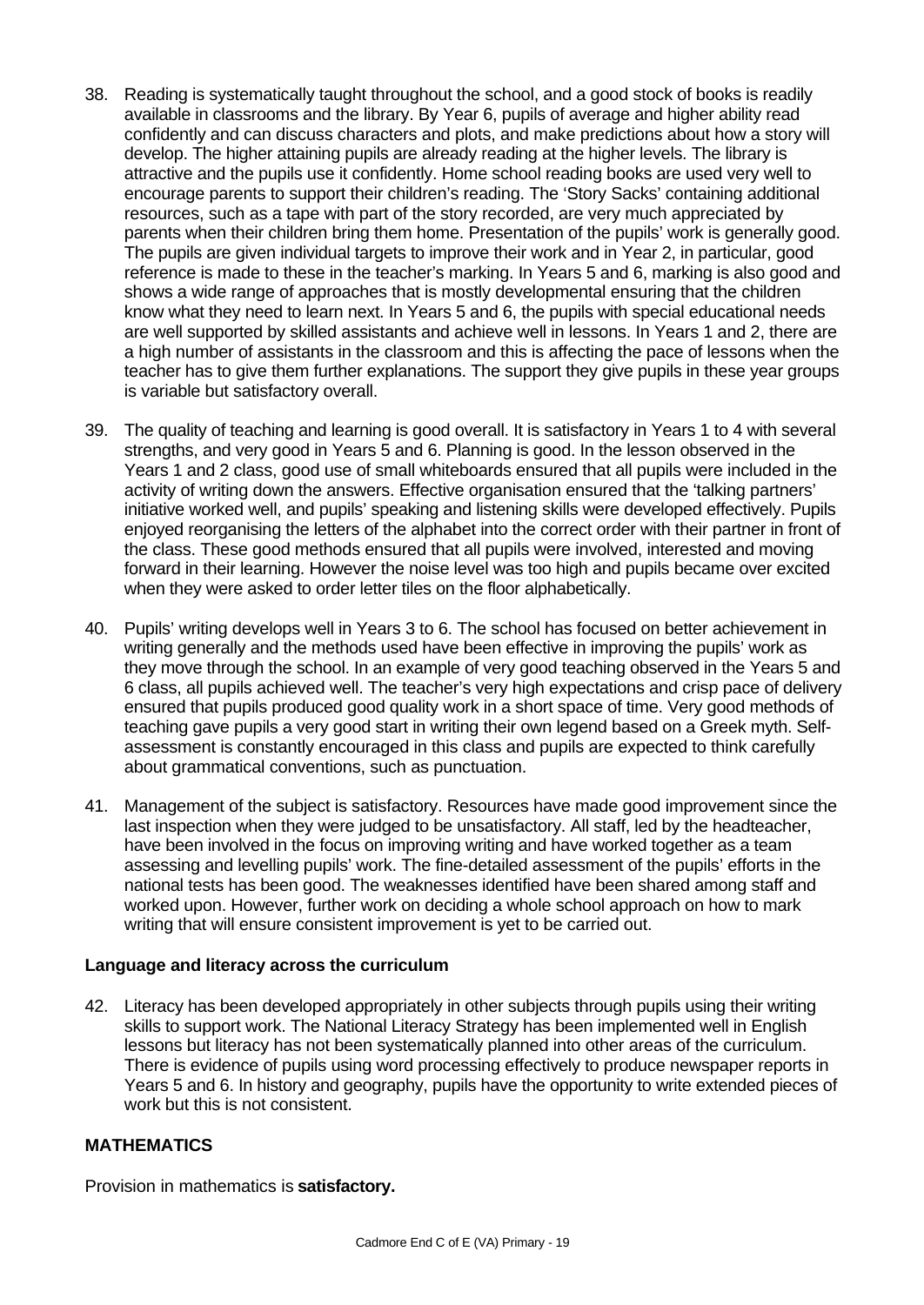- 38. Reading is systematically taught throughout the school, and a good stock of books is readily available in classrooms and the library. By Year 6, pupils of average and higher ability read confidently and can discuss characters and plots, and make predictions about how a story will develop. The higher attaining pupils are already reading at the higher levels. The library is attractive and the pupils use it confidently. Home school reading books are used very well to encourage parents to support their children's reading. The 'Story Sacks' containing additional resources, such as a tape with part of the story recorded, are very much appreciated by parents when their children bring them home. Presentation of the pupils' work is generally good. The pupils are given individual targets to improve their work and in Year 2, in particular, good reference is made to these in the teacher's marking. In Years 5 and 6, marking is also good and shows a wide range of approaches that is mostly developmental ensuring that the children know what they need to learn next. In Years 5 and 6, the pupils with special educational needs are well supported by skilled assistants and achieve well in lessons. In Years 1 and 2, there are a high number of assistants in the classroom and this is affecting the pace of lessons when the teacher has to give them further explanations. The support they give pupils in these year groups is variable but satisfactory overall.
- 39. The quality of teaching and learning is good overall. It is satisfactory in Years 1 to 4 with several strengths, and very good in Years 5 and 6. Planning is good. In the lesson observed in the Years 1 and 2 class, good use of small whiteboards ensured that all pupils were included in the activity of writing down the answers. Effective organisation ensured that the 'talking partners' initiative worked well, and pupils' speaking and listening skills were developed effectively. Pupils enjoyed reorganising the letters of the alphabet into the correct order with their partner in front of the class. These good methods ensured that all pupils were involved, interested and moving forward in their learning. However the noise level was too high and pupils became over excited when they were asked to order letter tiles on the floor alphabetically.
- 40. Pupils' writing develops well in Years 3 to 6. The school has focused on better achievement in writing generally and the methods used have been effective in improving the pupils' work as they move through the school. In an example of very good teaching observed in the Years 5 and 6 class, all pupils achieved well. The teacher's very high expectations and crisp pace of delivery ensured that pupils produced good quality work in a short space of time. Very good methods of teaching gave pupils a very good start in writing their own legend based on a Greek myth. Selfassessment is constantly encouraged in this class and pupils are expected to think carefully about grammatical conventions, such as punctuation.
- 41. Management of the subject is satisfactory. Resources have made good improvement since the last inspection when they were judged to be unsatisfactory. All staff, led by the headteacher, have been involved in the focus on improving writing and have worked together as a team assessing and levelling pupils' work. The fine-detailed assessment of the pupils' efforts in the national tests has been good. The weaknesses identified have been shared among staff and worked upon. However, further work on deciding a whole school approach on how to mark writing that will ensure consistent improvement is yet to be carried out.

### **Language and literacy across the curriculum**

42. Literacy has been developed appropriately in other subjects through pupils using their writing skills to support work. The National Literacy Strategy has been implemented well in English lessons but literacy has not been systematically planned into other areas of the curriculum. There is evidence of pupils using word processing effectively to produce newspaper reports in Years 5 and 6. In history and geography, pupils have the opportunity to write extended pieces of work but this is not consistent.

## **MATHEMATICS**

Provision in mathematics is **satisfactory.**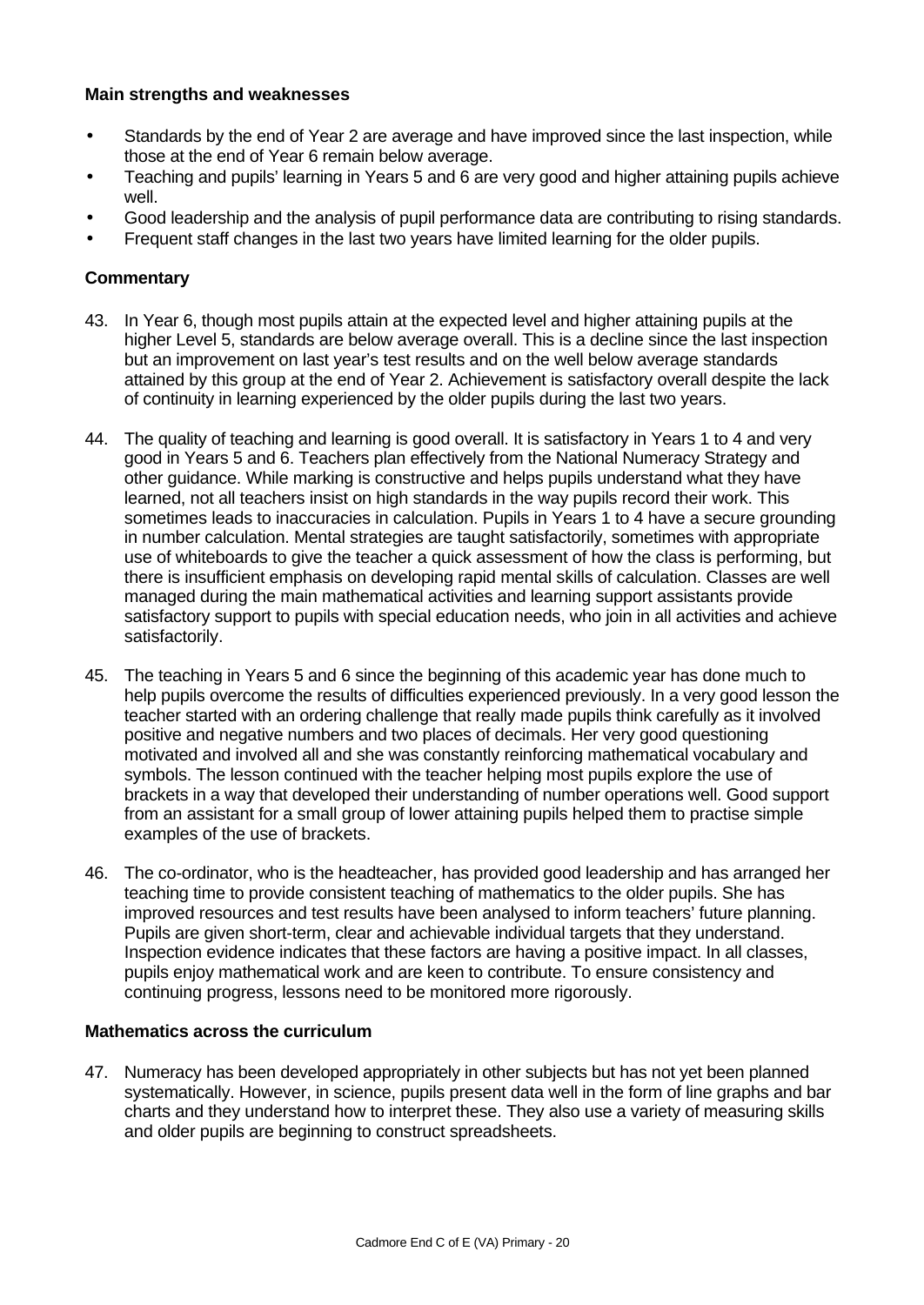### **Main strengths and weaknesses**

- Standards by the end of Year 2 are average and have improved since the last inspection, while those at the end of Year 6 remain below average.
- Teaching and pupils' learning in Years 5 and 6 are very good and higher attaining pupils achieve well.
- Good leadership and the analysis of pupil performance data are contributing to rising standards.
- Frequent staff changes in the last two years have limited learning for the older pupils.

### **Commentary**

- 43. In Year 6, though most pupils attain at the expected level and higher attaining pupils at the higher Level 5, standards are below average overall. This is a decline since the last inspection but an improvement on last year's test results and on the well below average standards attained by this group at the end of Year 2. Achievement is satisfactory overall despite the lack of continuity in learning experienced by the older pupils during the last two years.
- 44. The quality of teaching and learning is good overall. It is satisfactory in Years 1 to 4 and very good in Years 5 and 6. Teachers plan effectively from the National Numeracy Strategy and other guidance. While marking is constructive and helps pupils understand what they have learned, not all teachers insist on high standards in the way pupils record their work. This sometimes leads to inaccuracies in calculation. Pupils in Years 1 to 4 have a secure grounding in number calculation. Mental strategies are taught satisfactorily, sometimes with appropriate use of whiteboards to give the teacher a quick assessment of how the class is performing, but there is insufficient emphasis on developing rapid mental skills of calculation. Classes are well managed during the main mathematical activities and learning support assistants provide satisfactory support to pupils with special education needs, who join in all activities and achieve satisfactorily.
- 45. The teaching in Years 5 and 6 since the beginning of this academic year has done much to help pupils overcome the results of difficulties experienced previously. In a very good lesson the teacher started with an ordering challenge that really made pupils think carefully as it involved positive and negative numbers and two places of decimals. Her very good questioning motivated and involved all and she was constantly reinforcing mathematical vocabulary and symbols. The lesson continued with the teacher helping most pupils explore the use of brackets in a way that developed their understanding of number operations well. Good support from an assistant for a small group of lower attaining pupils helped them to practise simple examples of the use of brackets.
- 46. The co-ordinator, who is the headteacher, has provided good leadership and has arranged her teaching time to provide consistent teaching of mathematics to the older pupils. She has improved resources and test results have been analysed to inform teachers' future planning. Pupils are given short-term, clear and achievable individual targets that they understand. Inspection evidence indicates that these factors are having a positive impact. In all classes, pupils enjoy mathematical work and are keen to contribute. To ensure consistency and continuing progress, lessons need to be monitored more rigorously.

#### **Mathematics across the curriculum**

47. Numeracy has been developed appropriately in other subjects but has not yet been planned systematically. However, in science, pupils present data well in the form of line graphs and bar charts and they understand how to interpret these. They also use a variety of measuring skills and older pupils are beginning to construct spreadsheets.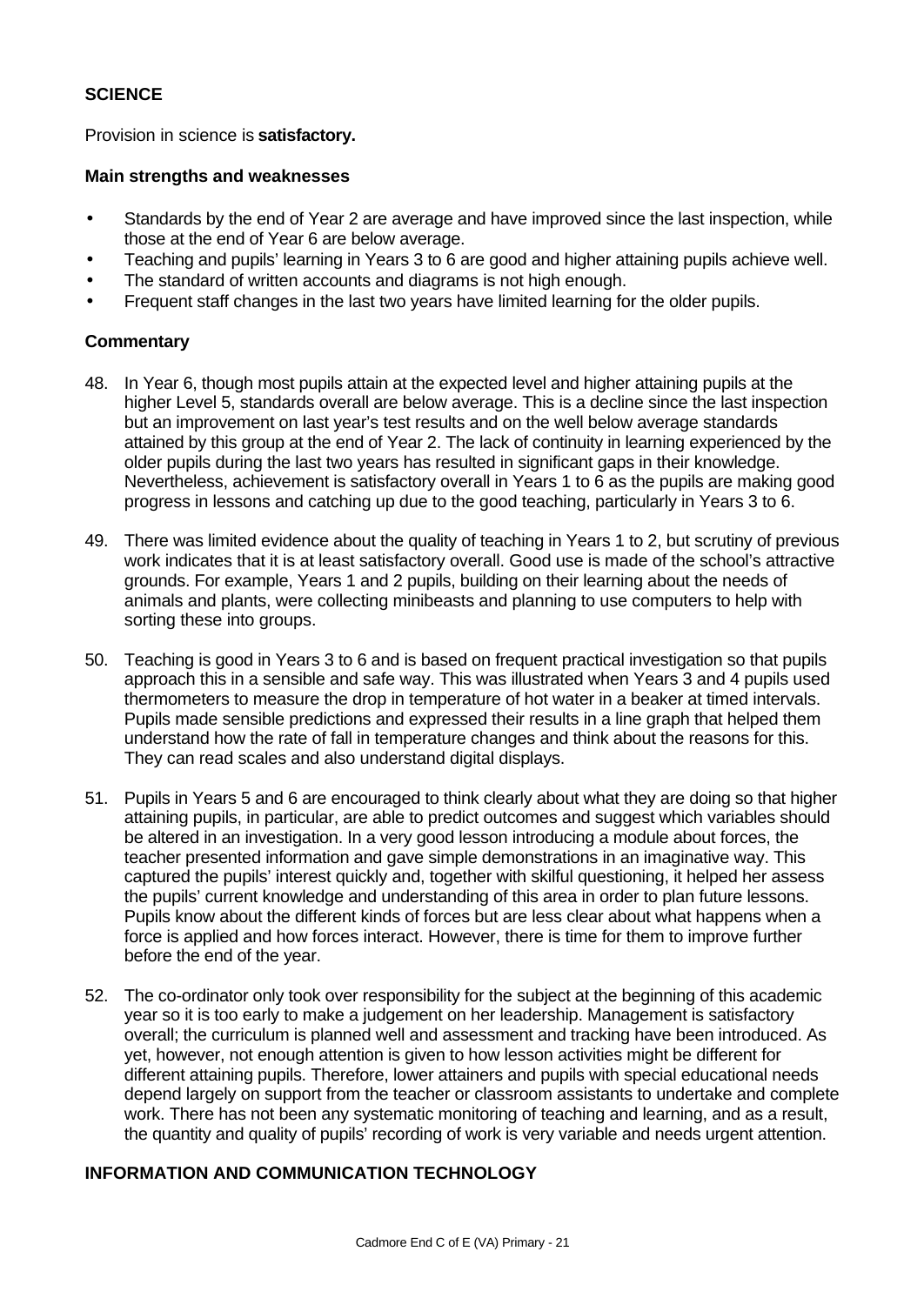### **SCIENCE**

Provision in science is **satisfactory.**

### **Main strengths and weaknesses**

- Standards by the end of Year 2 are average and have improved since the last inspection, while those at the end of Year 6 are below average.
- Teaching and pupils' learning in Years 3 to 6 are good and higher attaining pupils achieve well.
- The standard of written accounts and diagrams is not high enough.
- Frequent staff changes in the last two years have limited learning for the older pupils.

### **Commentary**

- 48. In Year 6, though most pupils attain at the expected level and higher attaining pupils at the higher Level 5, standards overall are below average. This is a decline since the last inspection but an improvement on last year's test results and on the well below average standards attained by this group at the end of Year 2. The lack of continuity in learning experienced by the older pupils during the last two years has resulted in significant gaps in their knowledge. Nevertheless, achievement is satisfactory overall in Years 1 to 6 as the pupils are making good progress in lessons and catching up due to the good teaching, particularly in Years 3 to 6.
- 49. There was limited evidence about the quality of teaching in Years 1 to 2, but scrutiny of previous work indicates that it is at least satisfactory overall. Good use is made of the school's attractive grounds. For example, Years 1 and 2 pupils, building on their learning about the needs of animals and plants, were collecting minibeasts and planning to use computers to help with sorting these into groups.
- 50. Teaching is good in Years 3 to 6 and is based on frequent practical investigation so that pupils approach this in a sensible and safe way. This was illustrated when Years 3 and 4 pupils used thermometers to measure the drop in temperature of hot water in a beaker at timed intervals. Pupils made sensible predictions and expressed their results in a line graph that helped them understand how the rate of fall in temperature changes and think about the reasons for this. They can read scales and also understand digital displays.
- 51. Pupils in Years 5 and 6 are encouraged to think clearly about what they are doing so that higher attaining pupils, in particular, are able to predict outcomes and suggest which variables should be altered in an investigation. In a very good lesson introducing a module about forces, the teacher presented information and gave simple demonstrations in an imaginative way. This captured the pupils' interest quickly and, together with skilful questioning, it helped her assess the pupils' current knowledge and understanding of this area in order to plan future lessons. Pupils know about the different kinds of forces but are less clear about what happens when a force is applied and how forces interact. However, there is time for them to improve further before the end of the year.
- 52. The co-ordinator only took over responsibility for the subject at the beginning of this academic year so it is too early to make a judgement on her leadership. Management is satisfactory overall; the curriculum is planned well and assessment and tracking have been introduced. As yet, however, not enough attention is given to how lesson activities might be different for different attaining pupils. Therefore, lower attainers and pupils with special educational needs depend largely on support from the teacher or classroom assistants to undertake and complete work. There has not been any systematic monitoring of teaching and learning, and as a result, the quantity and quality of pupils' recording of work is very variable and needs urgent attention.

### **INFORMATION AND COMMUNICATION TECHNOLOGY**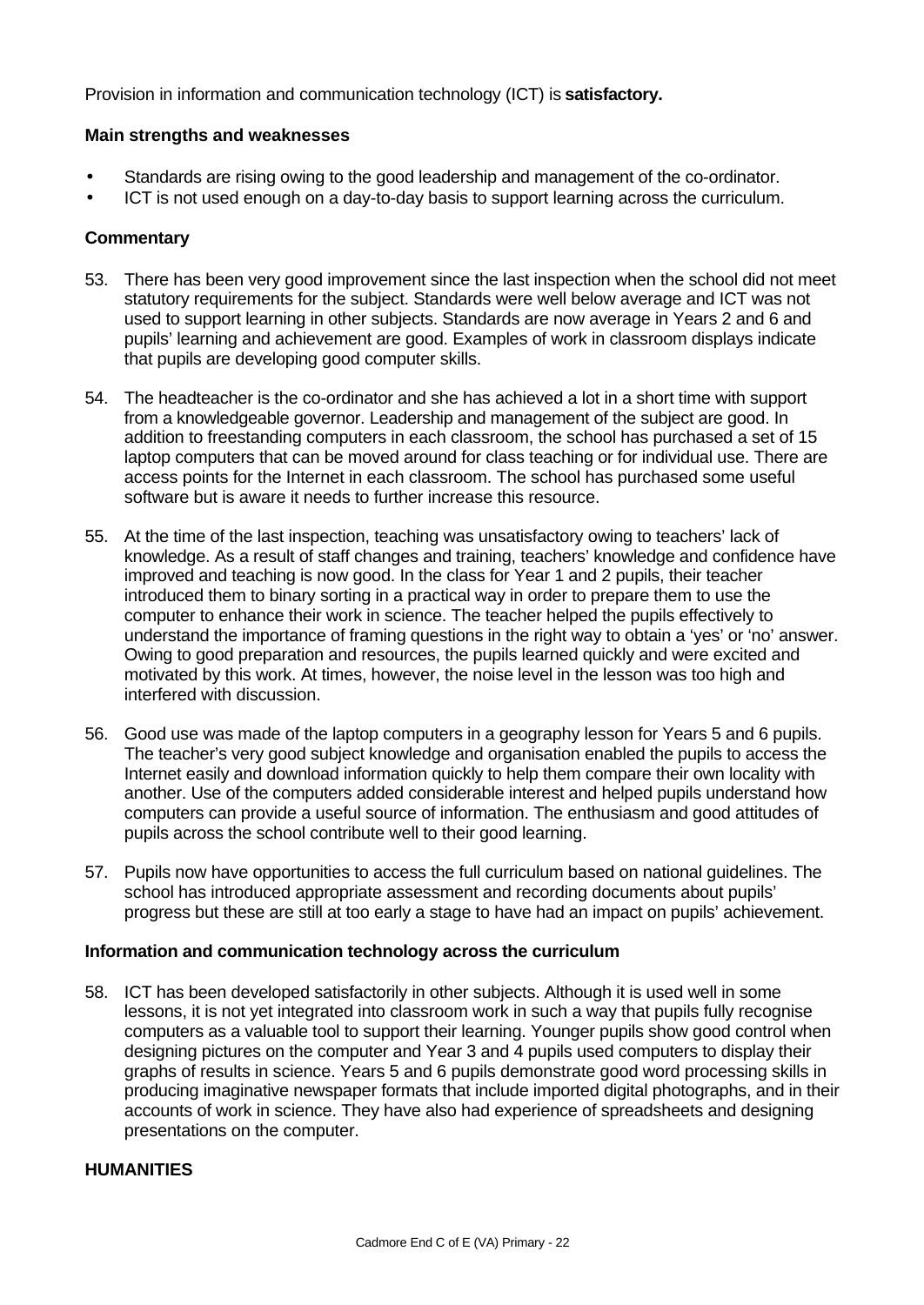Provision in information and communication technology (ICT) is **satisfactory.**

### **Main strengths and weaknesses**

- Standards are rising owing to the good leadership and management of the co-ordinator.
- ICT is not used enough on a day-to-day basis to support learning across the curriculum.

### **Commentary**

- 53. There has been very good improvement since the last inspection when the school did not meet statutory requirements for the subject. Standards were well below average and ICT was not used to support learning in other subjects. Standards are now average in Years 2 and 6 and pupils' learning and achievement are good. Examples of work in classroom displays indicate that pupils are developing good computer skills.
- 54. The headteacher is the co-ordinator and she has achieved a lot in a short time with support from a knowledgeable governor. Leadership and management of the subject are good. In addition to freestanding computers in each classroom, the school has purchased a set of 15 laptop computers that can be moved around for class teaching or for individual use. There are access points for the Internet in each classroom. The school has purchased some useful software but is aware it needs to further increase this resource.
- 55. At the time of the last inspection, teaching was unsatisfactory owing to teachers' lack of knowledge. As a result of staff changes and training, teachers' knowledge and confidence have improved and teaching is now good. In the class for Year 1 and 2 pupils, their teacher introduced them to binary sorting in a practical way in order to prepare them to use the computer to enhance their work in science. The teacher helped the pupils effectively to understand the importance of framing questions in the right way to obtain a 'yes' or 'no' answer. Owing to good preparation and resources, the pupils learned quickly and were excited and motivated by this work. At times, however, the noise level in the lesson was too high and interfered with discussion.
- 56. Good use was made of the laptop computers in a geography lesson for Years 5 and 6 pupils. The teacher's very good subject knowledge and organisation enabled the pupils to access the Internet easily and download information quickly to help them compare their own locality with another. Use of the computers added considerable interest and helped pupils understand how computers can provide a useful source of information. The enthusiasm and good attitudes of pupils across the school contribute well to their good learning.
- 57. Pupils now have opportunities to access the full curriculum based on national guidelines. The school has introduced appropriate assessment and recording documents about pupils' progress but these are still at too early a stage to have had an impact on pupils' achievement.

### **Information and communication technology across the curriculum**

58. ICT has been developed satisfactorily in other subjects. Although it is used well in some lessons, it is not yet integrated into classroom work in such a way that pupils fully recognise computers as a valuable tool to support their learning. Younger pupils show good control when designing pictures on the computer and Year 3 and 4 pupils used computers to display their graphs of results in science. Years 5 and 6 pupils demonstrate good word processing skills in producing imaginative newspaper formats that include imported digital photographs, and in their accounts of work in science. They have also had experience of spreadsheets and designing presentations on the computer.

### **HUMANITIES**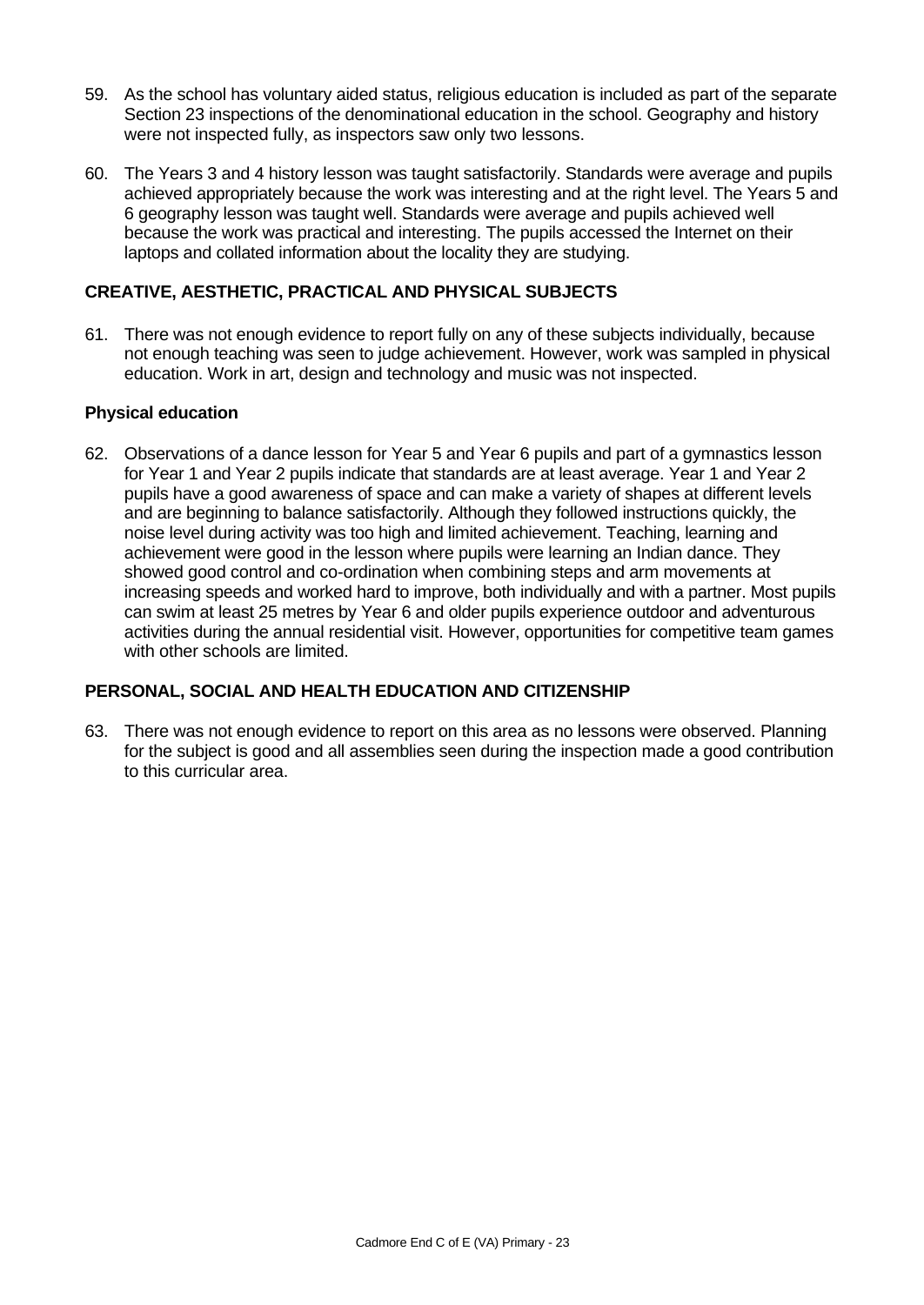- 59. As the school has voluntary aided status, religious education is included as part of the separate Section 23 inspections of the denominational education in the school. Geography and history were not inspected fully, as inspectors saw only two lessons.
- 60. The Years 3 and 4 history lesson was taught satisfactorily. Standards were average and pupils achieved appropriately because the work was interesting and at the right level. The Years 5 and 6 geography lesson was taught well. Standards were average and pupils achieved well because the work was practical and interesting. The pupils accessed the Internet on their laptops and collated information about the locality they are studying.

## **CREATIVE, AESTHETIC, PRACTICAL AND PHYSICAL SUBJECTS**

61. There was not enough evidence to report fully on any of these subjects individually, because not enough teaching was seen to judge achievement. However, work was sampled in physical education. Work in art, design and technology and music was not inspected.

### **Physical education**

62. Observations of a dance lesson for Year 5 and Year 6 pupils and part of a gymnastics lesson for Year 1 and Year 2 pupils indicate that standards are at least average. Year 1 and Year 2 pupils have a good awareness of space and can make a variety of shapes at different levels and are beginning to balance satisfactorily. Although they followed instructions quickly, the noise level during activity was too high and limited achievement. Teaching, learning and achievement were good in the lesson where pupils were learning an Indian dance. They showed good control and co-ordination when combining steps and arm movements at increasing speeds and worked hard to improve, both individually and with a partner. Most pupils can swim at least 25 metres by Year 6 and older pupils experience outdoor and adventurous activities during the annual residential visit. However, opportunities for competitive team games with other schools are limited.

### **PERSONAL, SOCIAL AND HEALTH EDUCATION AND CITIZENSHIP**

63. There was not enough evidence to report on this area as no lessons were observed. Planning for the subject is good and all assemblies seen during the inspection made a good contribution to this curricular area.